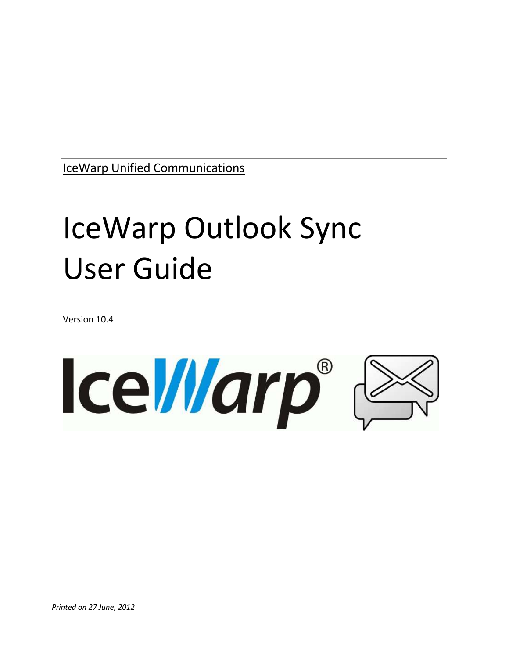IceWarp Unified Communications

# IceWarp Outlook Sync User Guide

Version 10.4

**IceWarp®**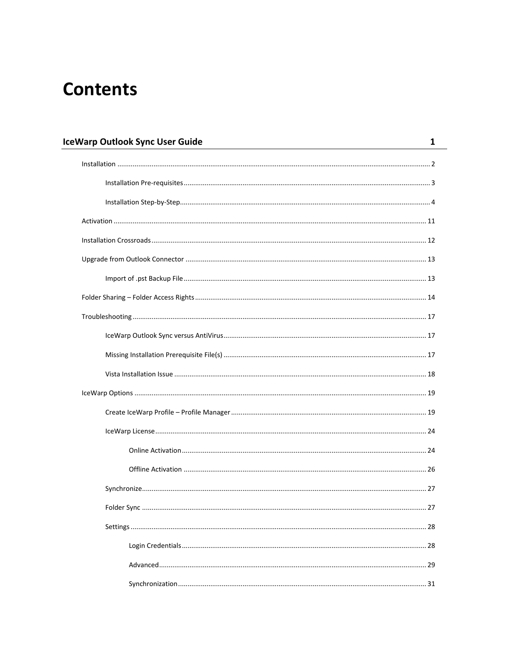## **Contents**

| <b>IceWarp Outlook Sync User Guide</b> | 1  |
|----------------------------------------|----|
|                                        |    |
|                                        |    |
|                                        |    |
|                                        |    |
|                                        |    |
|                                        |    |
|                                        |    |
|                                        |    |
|                                        |    |
|                                        |    |
|                                        |    |
|                                        |    |
|                                        |    |
|                                        |    |
|                                        |    |
|                                        |    |
|                                        |    |
|                                        |    |
| Folder Sync                            | 27 |
|                                        |    |
|                                        |    |
|                                        |    |
|                                        |    |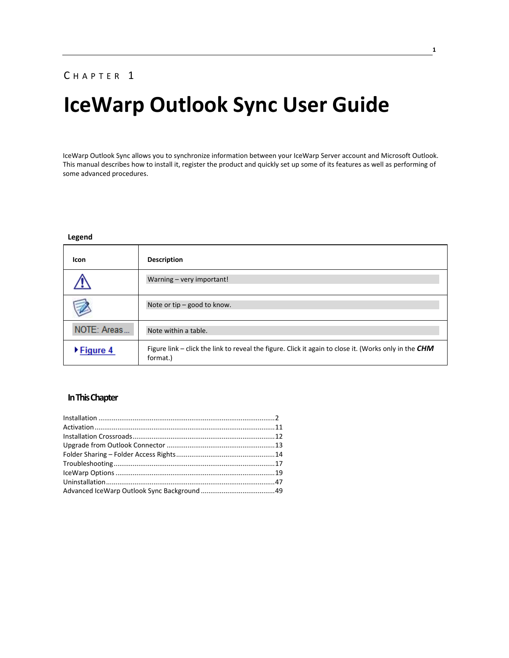#### CHAPTER 1

## **IceWarp Outlook Sync User Guide**

IceWarp Outlook Sync allows you to synchronize information between your IceWarp Server account and Microsoft Outlook. This manual describes how to install it, register the product and quickly set up some of its features as well as performing of some advanced procedures.

#### **Legend**

| <b>Icon</b>                    | <b>Description</b>                                                                                                  |
|--------------------------------|---------------------------------------------------------------------------------------------------------------------|
|                                | Warning - very important!                                                                                           |
|                                | Note or tip - good to know.                                                                                         |
| NOTE: Areas                    | Note within a table.                                                                                                |
| $\blacktriangleright$ Figure 4 | Figure link – click the link to reveal the figure. Click it again to close it. (Works only in the $CHM$<br>format.) |

#### **In This Chapter**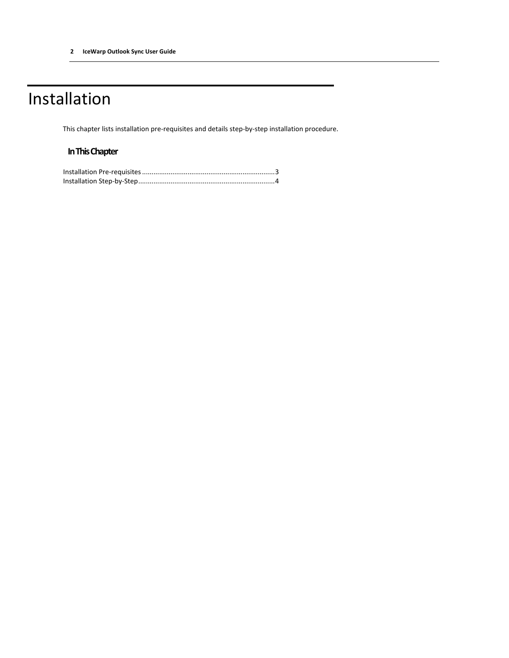## <span id="page-5-0"></span>Installation

This chapter lists installation pre-requisites and details step-by-step installation procedure.

#### **In This Chapter**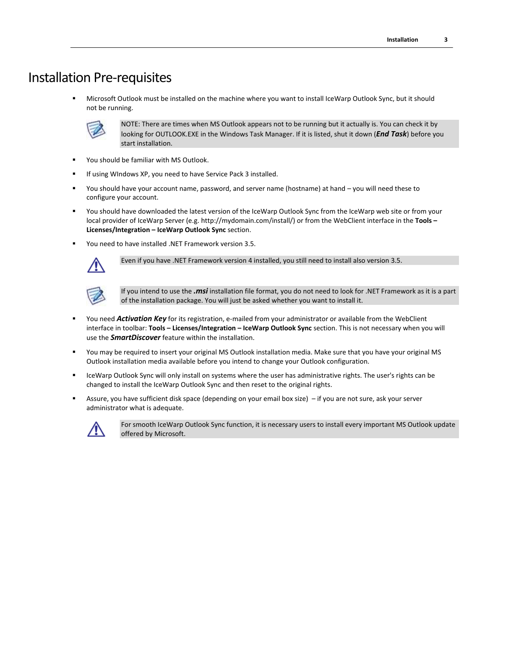### <span id="page-6-0"></span>Installation Pre-requisites

 Microsoft Outlook must be installed on the machine where you want to install IceWarp Outlook Sync, but it should not be running.



NOTE: There are times when MS Outlook appears not to be running but it actually is. You can check it by looking for OUTLOOK.EXE in the Windows Task Manager. If it is listed, shut it down (*End Task*) before you start installation.

- You should be familiar with MS Outlook.
- If using WIndows XP, you need to have Service Pack 3 installed.
- You should have your account name, password, and server name (hostname) at hand you will need these to configure your account.
- You should have downloaded the latest version of the IceWarp Outlook Sync from the IceWarp web site or from your local provider of IceWarp Server (e.g. http://mydomain.com/install/) or from the WebClient interface in the **Tools – Licenses/Integration – IceWarp Outlook Sync** section.
- You need to have installed .NET Framework version 3.5.



Even if you have .NET Framework version 4 installed, you still need to install also version 3.5.



If you intend to use the *.msi* installation file format, you do not need to look for .NET Framework as it is a part of the installation package. You will just be asked whether you want to install it.

- You need *Activation Key* for its registration, e-mailed from your administrator or available from the WebClient interface in toolbar: **Tools – Licenses/Integration – IceWarp Outlook Sync** section. This is not necessary when you will use the *SmartDiscover* feature within the installation.
- You may be required to insert your original MS Outlook installation media. Make sure that you have your original MS Outlook installation media available before you intend to change your Outlook configuration.
- IceWarp Outlook Sync will only install on systems where the user has administrative rights. The user's rights can be changed to install the IceWarp Outlook Sync and then reset to the original rights.
- Assure, you have sufficient disk space (depending on your email box size) if you are not sure, ask your server administrator what is adequate.



For smooth IceWarp Outlook Sync function, it is necessary users to install every important MS Outlook update offered by Microsoft.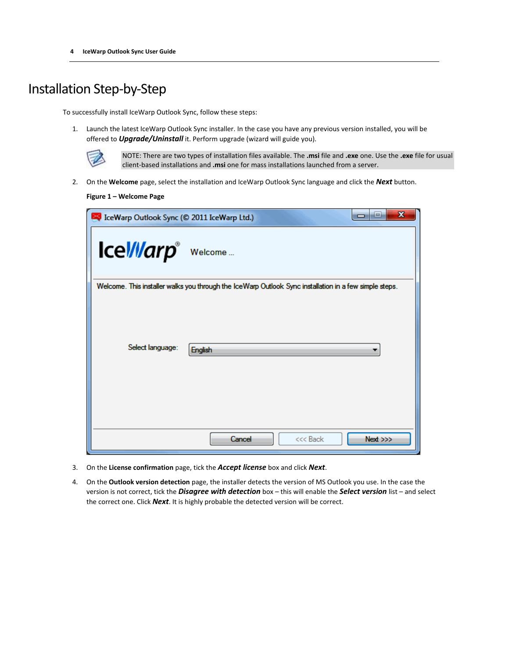## <span id="page-7-0"></span>Installation Step-by-Step

To successfully install IceWarp Outlook Sync, follow these steps:

1. Launch the latest IceWarp Outlook Sync installer. In the case you have any previous version installed, you will be offered to *Upgrade/Uninstall* it. Perform upgrade (wizard will guide you).



NOTE: There are two types of installation files available. The **.msi** file and **.exe** one. Use the **.exe** file for usual client-based installations and **.msi** one for mass installations launched from a server.

2. On the **Welcome** page, select the installation and IceWarp Outlook Sync language and click the *Next* button.

**Figure 1 – Welcome Page**

| IceWarp Outlook Sync (@ 2011 IceWarp Ltd.) | x<br>العارص                                                                                            |
|--------------------------------------------|--------------------------------------------------------------------------------------------------------|
| Icel/larp <sup>®</sup> Welcome             |                                                                                                        |
|                                            | Welcome. This installer walks you through the IceWarp Outlook Sync installation in a few simple steps. |
| Select language:                           | <b>English</b>                                                                                         |
|                                            | Cancel<br>Next >>><br><<< Back                                                                         |

- 3. On the **License confirmation** page, tick the *Accept license* box and click *Next*.
- 4. On the **Outlook version detection** page, the installer detects the version of MS Outlook you use. In the case the version is not correct, tick the *Disagree with detection* box – this will enable the *Select version* list – and select the correct one. Click *Next*. It is highly probable the detected version will be correct.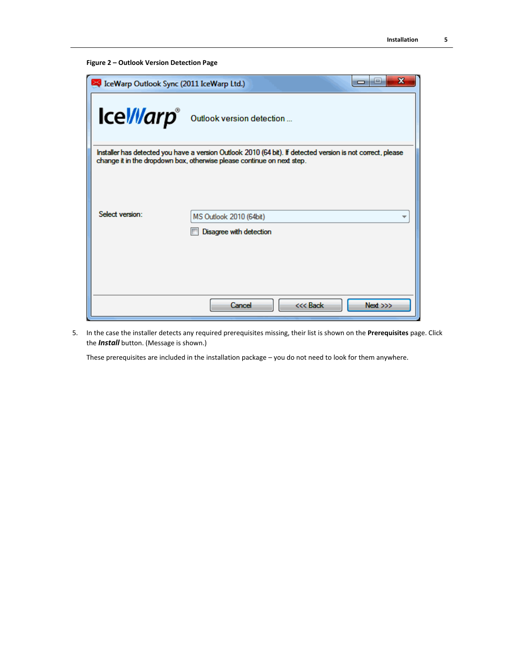```
Figure 2 – Outlook Version Detection Page
```

| IceWarp Outlook Sync (2011 IceWarp Ltd.) | x<br>i=i<br>-                                                                                                                                                                         |
|------------------------------------------|---------------------------------------------------------------------------------------------------------------------------------------------------------------------------------------|
|                                          | Icel/llarp outlook version detection                                                                                                                                                  |
|                                          | Installer has detected you have a version Outlook 2010 (64 bit). If detected version is not correct, please<br>change it in the dropdown box, otherwise please continue on next step. |
| Select version:                          | MS Outlook 2010 (64bit)<br>Disagree with detection                                                                                                                                    |
|                                          | <<< Back<br>Next >>><br>Cancel                                                                                                                                                        |

5. In the case the installer detects any required prerequisites missing, their list is shown on the **Prerequisites** page. Click the *Install* button. (Message is shown.)

These prerequisites are included in the installation package – you do not need to look for them anywhere.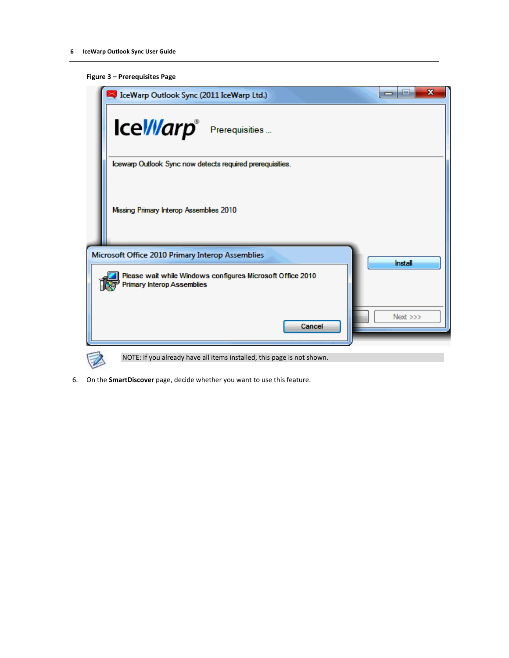#### **Figure 3 – Prerequisites Page**



6. On the **SmartDiscover** page, decide whether you want to use this feature.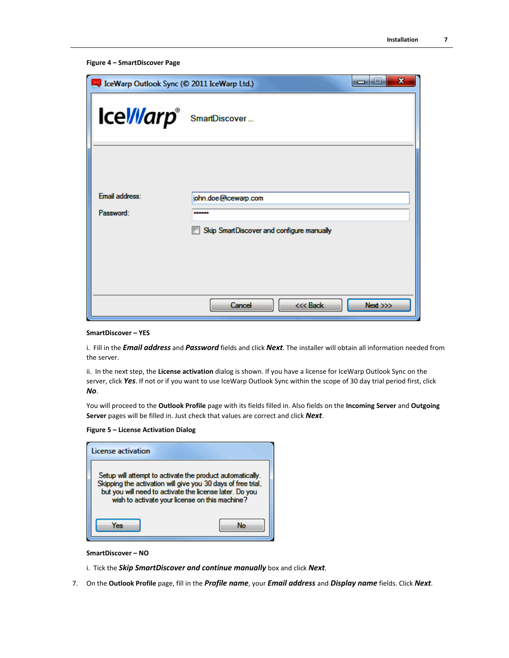```
Figure 4 – SmartDiscover Page
```

| IceWarp Outlook Sync (© 2011 IceWarp Ltd.) | $\mathbf x$<br>a Te                           |
|--------------------------------------------|-----------------------------------------------|
| Icel/larp <sup>®</sup> SmartDiscover       |                                               |
| Fmail address:                             | john.doe@icewarp.com                          |
| Password:                                  | <br>Skip SmartDiscover and configure manually |
|                                            |                                               |
|                                            | $Next \gg$<br>Cancel<br><<< Back              |

#### **SmartDiscover – YES**

i. Fill in the *Email address* and *Password* fields and click *Next*. The installer will obtain all information needed from the server.

ii. In the next step, the **License activation** dialog is shown. If you have a license for IceWarp Outlook Sync on the server, click *Yes*. If not or if you want to use IceWarp Outlook Sync within the scope of 30 day trial period first, click *No*.

You will proceed to the **Outlook Profile** page with its fields filled in. Also fields on the **Incoming Server** and **Outgoing Server** pages will be filled in. Just check that values are correct and click *Next*.

#### **Figure 5 – License Activation Dialog**

| License activation                                                                                                                                                                                                                     |  |
|----------------------------------------------------------------------------------------------------------------------------------------------------------------------------------------------------------------------------------------|--|
| Setup will attempt to activate the product automatically.<br>Skipping the activation will give you 30 days of free trial,<br>but you will need to activate the license later. Do you<br>wish to activate your license on this machine? |  |
| Рs                                                                                                                                                                                                                                     |  |

#### **SmartDiscover – NO**

- i. Tick the *Skip SmartDiscover and continue manually* box and click *Next*.
- 7. On the **Outlook Profile** page, fill in the *Profile name*, your *Email address* and *Display name* fields. Click *Next*.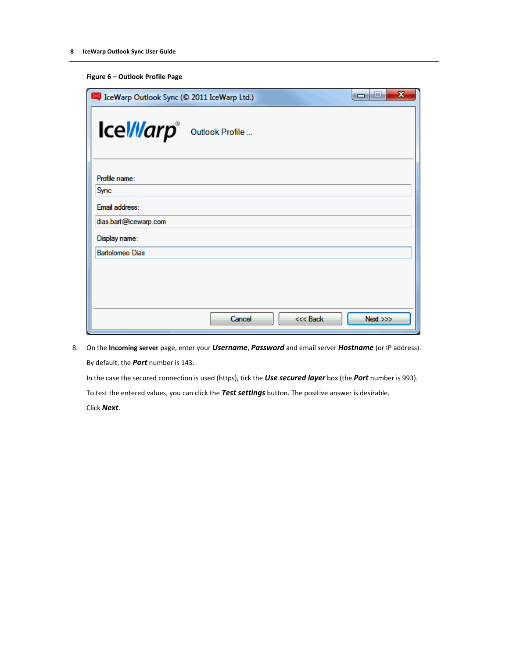|  | Figure 6 - Outlook Profile Page |  |  |
|--|---------------------------------|--|--|
|--|---------------------------------|--|--|

| IceWarp Outlook Sync (© 2011 IceWarp Ltd.) | $\mathbf x$<br>نعادها      |  |
|--------------------------------------------|----------------------------|--|
| Icel/larp outlook Profile                  |                            |  |
| Profile name:                              |                            |  |
| Sync                                       |                            |  |
| Email address:                             |                            |  |
| dias.bart@icewarp.com                      |                            |  |
| Display name:                              |                            |  |
| <b>Bartolomeo Dias</b>                     |                            |  |
|                                            |                            |  |
|                                            |                            |  |
|                                            |                            |  |
|                                            | Cancel<br><<< Back<br>Next |  |

8. On the **Incoming server** page, enter your *Username*, *Password* and email server *Hostname* (or IP address). By default, the *Port* number is 143.

In the case the secured connection is used (https), tick the *Use secured layer* box (the *Port* number is 993).

To test the entered values, you can click the *Test settings* button. The positive answer is desirable. Click *Next*.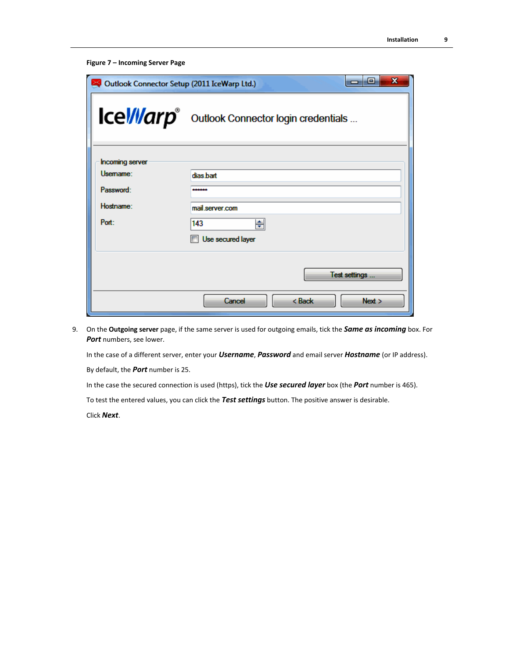```
Figure 7 – Incoming Server Page
```

| Outlook Connector Setup (2011 IceWarp Ltd.) | x<br>o<br>—                                    |
|---------------------------------------------|------------------------------------------------|
|                                             | Icel/llarp outlook Connector login credentials |
| <b>Incoming server</b>                      |                                                |
| Usemame:                                    | dias bart                                      |
| Password:                                   |                                                |
| Hostname:                                   | mail server com                                |
| Port:                                       | 143<br>≑                                       |
|                                             | Use secured layer                              |
|                                             | Test settings                                  |
|                                             | $8$ Back<br>Cancel<br>Next                     |

9. On the **Outgoing server** page, if the same server is used for outgoing emails, tick the *Same as incoming* box. For *Port* numbers, see lower.

In the case of a different server, enter your *Username*, *Password* and email server *Hostname* (or IP address).

By default, the *Port* number is 25.

In the case the secured connection is used (https), tick the *Use secured layer* box (the *Port* number is 465).

To test the entered values, you can click the *Test settings* button. The positive answer is desirable.

Click *Next*.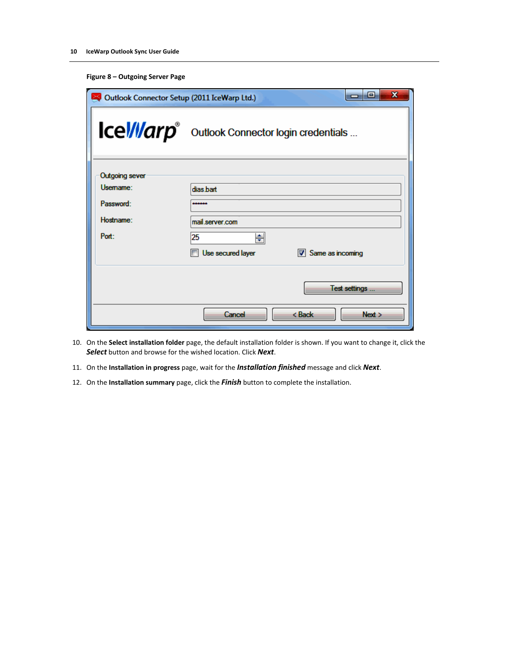|  |  | Figure 8 - Outgoing Server Page |
|--|--|---------------------------------|
|--|--|---------------------------------|

| x<br>e<br>Outlook Connector Setup (2011 IceWarp Ltd.)<br>- |                                                |  |  |
|------------------------------------------------------------|------------------------------------------------|--|--|
|                                                            | Icel/llarp outlook Connector login credentials |  |  |
| <b>Outgoing sever</b>                                      |                                                |  |  |
| Usemame:                                                   | dias.bart                                      |  |  |
| Password:                                                  | .                                              |  |  |
| Hostname:                                                  | mail server.com                                |  |  |
| Port:                                                      | 25<br>♦                                        |  |  |
|                                                            | Use secured layer<br>Same as incoming          |  |  |
|                                                            | Test settings                                  |  |  |
|                                                            | < Back<br>Cancel<br>Next >                     |  |  |

- 10. On the **Select installation folder** page, the default installation folder is shown. If you want to change it, click the *Select* button and browse for the wished location. Click *Next*.
- 11. On the **Installation in progress** page, wait for the *Installation finished* message and click *Next*.
- 12. On the **Installation summary** page, click the *Finish* button to complete the installation.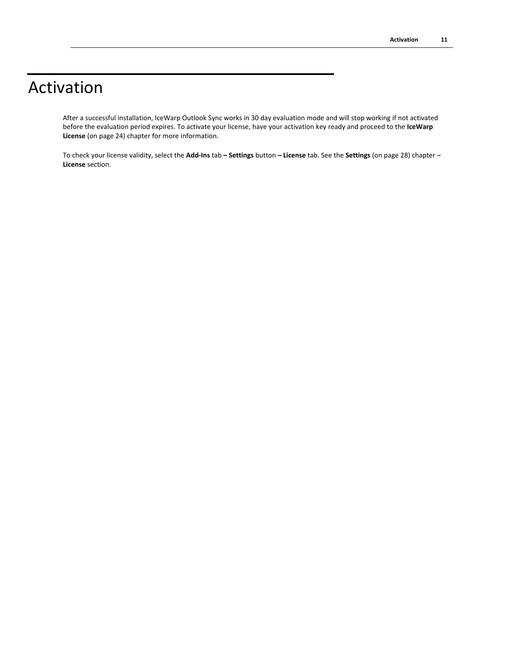## <span id="page-14-0"></span>Activation

After a successful installation, IceWarp Outlook Sync works in 30 day evaluation mode and will stop working if not activated before the evaluation period expires. To activate your license, have your activation key ready and proceed to the **IceWarp License** (on page [24\)](#page-27-0) chapter for more information.

To check your license validity, select the **Add-Ins** tab **– Settings** button **– License** tab. See the **Settings** (on page [28\)](#page-31-0) chapter – **License** section.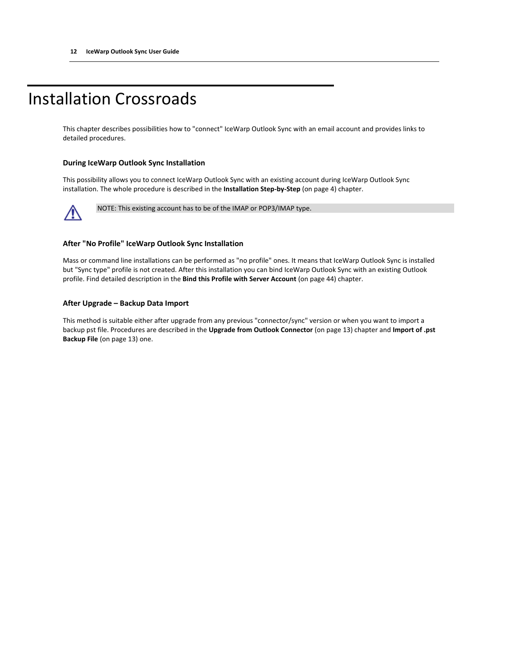## <span id="page-15-0"></span>Installation Crossroads

This chapter describes possibilities how to "connect" IceWarp Outlook Sync with an email account and provides links to detailed procedures.

#### **During IceWarp Outlook Sync Installation**

This possibility allows you to connect IceWarp Outlook Sync with an existing account during IceWarp Outlook Sync installation. The whole procedure is described in the **Installation Step-by-Step** (on pag[e 4\)](#page-7-0) chapter.



NOTE: This existing account has to be of the IMAP or POP3/IMAP type.

#### **After "No Profile" IceWarp Outlook Sync Installation**

Mass or command line installations can be performed as "no profile" ones. It means that IceWarp Outlook Sync is installed but "Sync type" profile is not created. After this installation you can bind IceWarp Outlook Sync with an existing Outlook profile. Find detailed description in the **Bind this Profile with Server Account** (on pag[e 44\)](#page-47-0) chapter.

#### **After Upgrade – Backup Data Import**

This method is suitable either after upgrade from any previous "connector/sync" version or when you want to import a backup pst file. Procedures are described in the **Upgrade from Outlook Connector** (on pag[e 13\)](#page-16-0) chapter and **Import of .pst Backup File** (on pag[e 13\)](#page-16-1) one.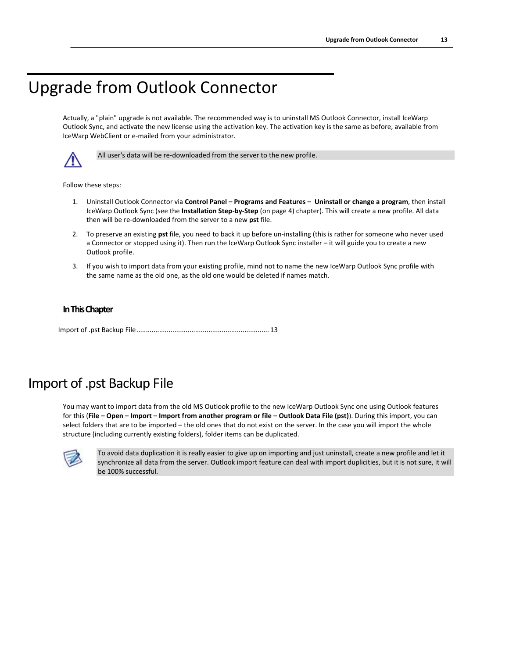## <span id="page-16-0"></span>Upgrade from Outlook Connector

Actually, a "plain" upgrade is not available. The recommended way is to uninstall MS Outlook Connector, install IceWarp Outlook Sync, and activate the new license using the activation key. The activation key is the same as before, available from IceWarp WebClient or e-mailed from your administrator.



All user's data will be re-downloaded from the server to the new profile.

Follow these steps:

- 1. Uninstall Outlook Connector via **Control Panel – Programs and Features – Uninstall or change a program**, then install IceWarp Outlook Sync (see the **Installation Step-by-Step** (on page [4\)](#page-7-0) chapter). This will create a new profile. All data then will be re-downloaded from the server to a new **pst** file.
- 2. To preserve an existing **pst** file, you need to back it up before un-installing (this is rather for someone who never used a Connector or stopped using it). Then run the IceWarp Outlook Sync installer – it will guide you to create a new Outlook profile.
- 3. If you wish to import data from your existing profile, mind not to name the new IceWarp Outlook Sync profile with the same name as the old one, as the old one would be deleted if names match.

#### **In This Chapter**

[Import of .pst Backup File.](#page-16-1)..................................................................... [13](#page-16-1)

## <span id="page-16-1"></span>Import of .pst Backup File

You may want to import data from the old MS Outlook profile to the new IceWarp Outlook Sync one using Outlook features for this (**File – Open – Import – Import from another program or file – Outlook Data File (pst)**). During this import, you can select folders that are to be imported – the old ones that do not exist on the server. In the case you will import the whole structure (including currently existing folders), folder items can be duplicated.



To avoid data duplication it is really easier to give up on importing and just uninstall, create a new profile and let it synchronize all data from the server. Outlook import feature can deal with import duplicities, but it is not sure, it will be 100% successful.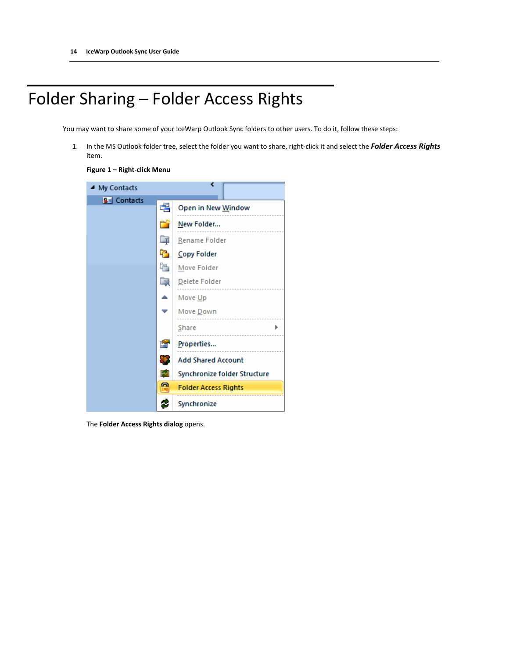## <span id="page-17-0"></span>Folder Sharing – Folder Access Rights

You may want to share some of your IceWarp Outlook Sync folders to other users. To do it, follow these steps:

1. In the MS Outlook folder tree, select the folder you want to share, right-click it and select the *Folder Access Rights* item.





The **Folder Access Rights dialog** opens.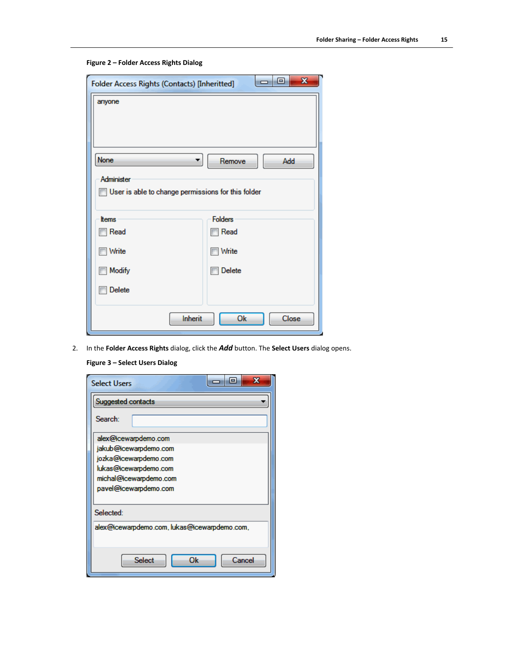|  |  |  | Figure 2 - Folder Access Rights Dialog |  |  |
|--|--|--|----------------------------------------|--|--|
|--|--|--|----------------------------------------|--|--|

| $\mathbf{x}$<br>ا دا<br>Folder Access Rights (Contacts) [Inheritted] |                           |  |  |
|----------------------------------------------------------------------|---------------------------|--|--|
| anyone                                                               |                           |  |  |
| None<br>Remove<br>Add                                                |                           |  |  |
| Administer<br>User is able to change permissions for this folder     |                           |  |  |
| <b>t</b> tems                                                        | <b>Folders</b>            |  |  |
| Read                                                                 | <b>Read</b>               |  |  |
| Write                                                                | <b>Nrite</b>              |  |  |
| <b>Modify</b>                                                        | Delete<br><b>Resident</b> |  |  |
| Delete                                                               |                           |  |  |
| Ok<br>Close<br>Inherit                                               |                           |  |  |

2. In the **Folder Access Rights** dialog, click the *Add* button. The **Select Users** dialog opens.

**Figure 3 – Select Users Dialog**

| $\mathbf x$<br>E<br><b>Select Users</b>      |
|----------------------------------------------|
| Suggested contacts                           |
| Search:                                      |
| alex@icewarpdemo.com                         |
| jakub@icewarpdemo.com                        |
| jozka@icewarpdemo.com                        |
| lukas@icewarpdemo.com                        |
| michal@icewarpdemo.com                       |
| pavel@icewarpdemo.com                        |
|                                              |
| Selected:                                    |
| alex@icewarpdemo.com, lukas@icewarpdemo.com, |
|                                              |
| Ok<br>Select<br>Cancel                       |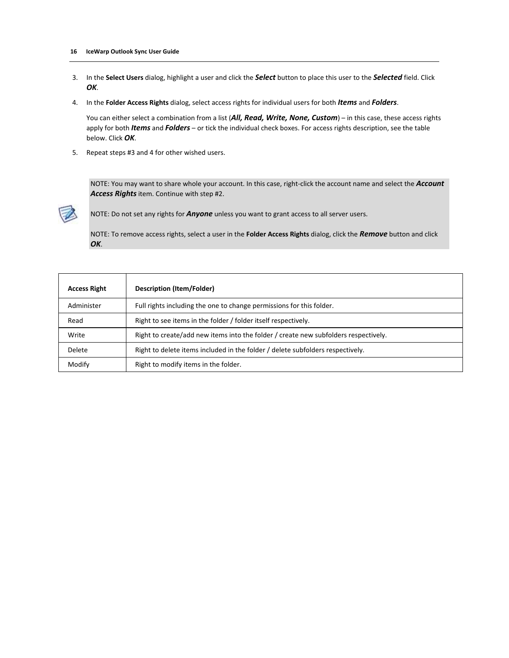- 3. In the **Select Users** dialog, highlight a user and click the *Select* button to place this user to the *Selected* field. Click *OK*.
- 4. In the **Folder Access Rights** dialog, select access rights for individual users for both *Items* and *Folders*.

You can either select a combination from a list (*All, Read, Write, None, Custom*) – in this case, these access rights apply for both *Items* and *Folders* – or tick the individual check boxes. For access rights description, see the table below. Click *OK*.

5. Repeat steps #3 and 4 for other wished users.

NOTE: You may want to share whole your account. In this case, right-click the account name and select the *Account Access Rights* item. Continue with step #2.



NOTE: Do not set any rights for *Anyone* unless you want to grant access to all server users.

NOTE: To remove access rights, select a user in the **Folder Access Rights** dialog, click the *Remove* button and click *OK*.

| <b>Access Right</b> | <b>Description (Item/Folder)</b>                                                    |
|---------------------|-------------------------------------------------------------------------------------|
| Administer          | Full rights including the one to change permissions for this folder.                |
| Read                | Right to see items in the folder / folder itself respectively.                      |
| Write               | Right to create/add new items into the folder / create new subfolders respectively. |
| Delete              | Right to delete items included in the folder / delete subfolders respectively.      |
| Modify              | Right to modify items in the folder.                                                |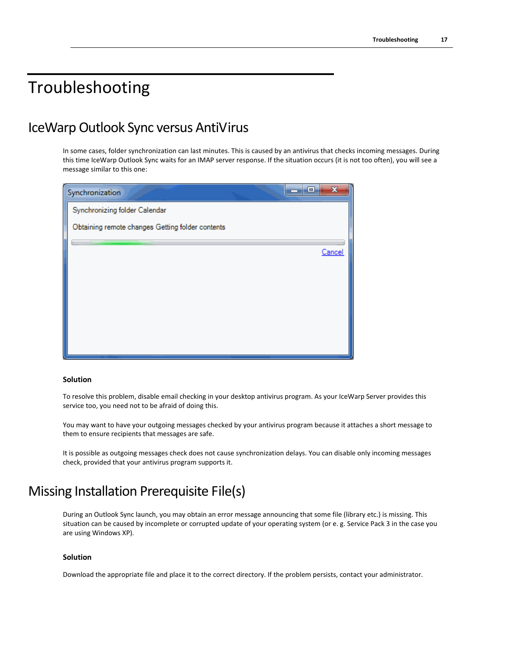## <span id="page-20-0"></span>Troubleshooting

### IceWarp Outlook Sync versus AntiVirus

In some cases, folder synchronization can last minutes. This is caused by an antivirus that checks incoming messages. During this time IceWarp Outlook Sync waits for an IMAP server response. If the situation occurs (it is not too often), you will see a message similar to this one:

| Synchronization                                  | $\overline{\mathbf{x}}$<br>▣ |
|--------------------------------------------------|------------------------------|
| Synchronizing folder Calendar                    |                              |
| Obtaining remote changes Getting folder contents |                              |
|                                                  | Cancel                       |
|                                                  |                              |
|                                                  |                              |
|                                                  |                              |
|                                                  |                              |
|                                                  |                              |
|                                                  |                              |

#### **Solution**

To resolve this problem, disable email checking in your desktop antivirus program. As your IceWarp Server provides this service too, you need not to be afraid of doing this.

You may want to have your outgoing messages checked by your antivirus program because it attaches a short message to them to ensure recipients that messages are safe.

It is possible as outgoing messages check does not cause synchronization delays. You can disable only incoming messages check, provided that your antivirus program supports it.

### Missing Installation Prerequisite File(s)

During an Outlook Sync launch, you may obtain an error message announcing that some file (library etc.) is missing. This situation can be caused by incomplete or corrupted update of your operating system (or e. g. Service Pack 3 in the case you are using Windows XP).

#### **Solution**

Download the appropriate file and place it to the correct directory. If the problem persists, contact your administrator.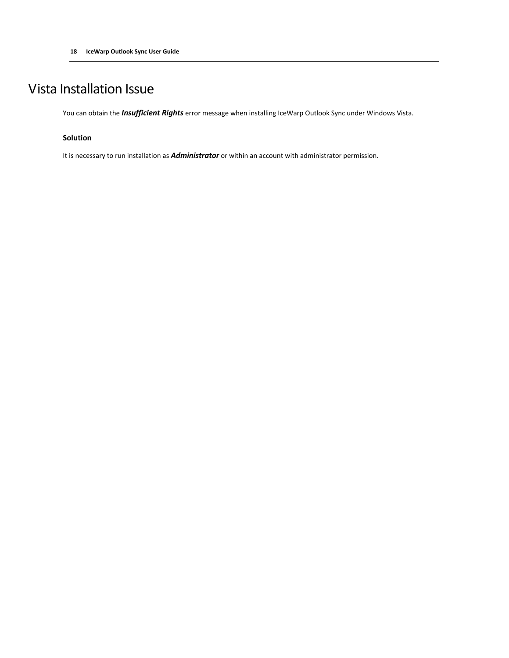## Vista Installation Issue

You can obtain the *Insufficient Rights* error message when installing IceWarp Outlook Sync under Windows Vista.

#### **Solution**

It is necessary to run installation as *Administrator* or within an account with administrator permission.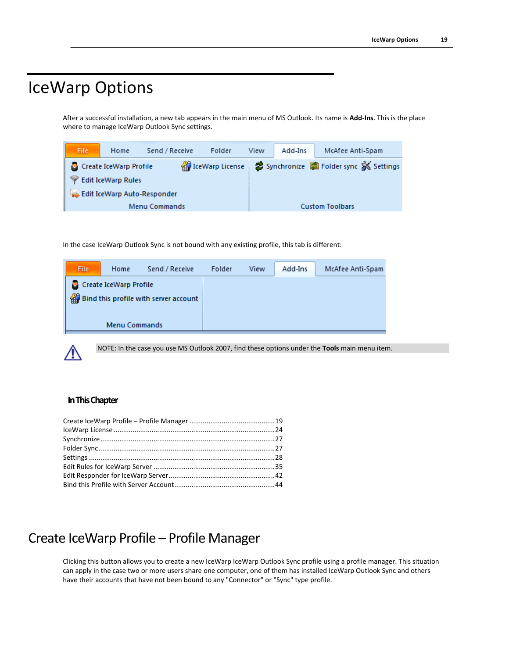## <span id="page-22-0"></span>IceWarp Options

After a successful installation, a new tab appears in the main menu of MS Outlook. Its name is **Add-Ins**. This is the place where to manage IceWarp Outlook Sync settings.



In the case IceWarp Outlook Sync is not bound with any existing profile, this tab is different:



NOTE: In the case you use MS Outlook 2007, find these options under the **Tools** main menu item.

#### **In This Chapter**

## <span id="page-22-1"></span>Create IceWarp Profile – Profile Manager

Clicking this button allows you to create a new IceWarp IceWarp Outlook Sync profile using a profile manager. This situation can apply in the case two or more users share one computer, one of them has installed IceWarp Outlook Sync and others have their accounts that have not been bound to any "Connector" or "Sync" type profile.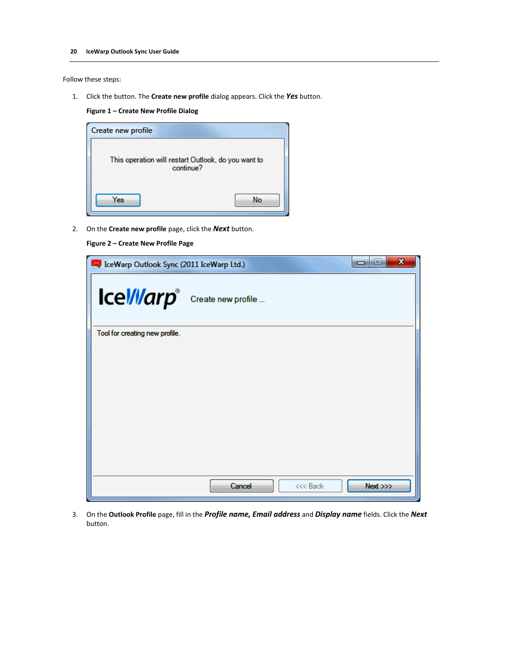Follow these steps:

1. Click the button. The **Create new profile** dialog appears. Click the *Yes* button.

**Figure 1 – Create New Profile Dialog**

| Create new profile                                               |    |
|------------------------------------------------------------------|----|
| This operation will restart Outlook, do you want to<br>continue? |    |
| Yes                                                              | No |

2. On the **Create new profile** page, click the *Next* button.

#### **Figure 2 – Create New Profile Page**

| IceWarp Outlook Sync (2011 IceWarp Ltd.)   |                    | $\mathbf x$<br>-9<br><b>COL</b> |
|--------------------------------------------|--------------------|---------------------------------|
| Icel/llarp <sup>®</sup> Create new profile |                    |                                 |
| Tool for creating new profile.             |                    |                                 |
|                                            |                    |                                 |
|                                            |                    |                                 |
|                                            |                    |                                 |
|                                            |                    |                                 |
|                                            |                    |                                 |
|                                            |                    |                                 |
|                                            |                    |                                 |
|                                            | Cancel<br><<< Back | Next >>>                        |

3. On the **Outlook Profile** page, fill in the *Profile name, Email address* and *Display name* fields. Click the *Next* button.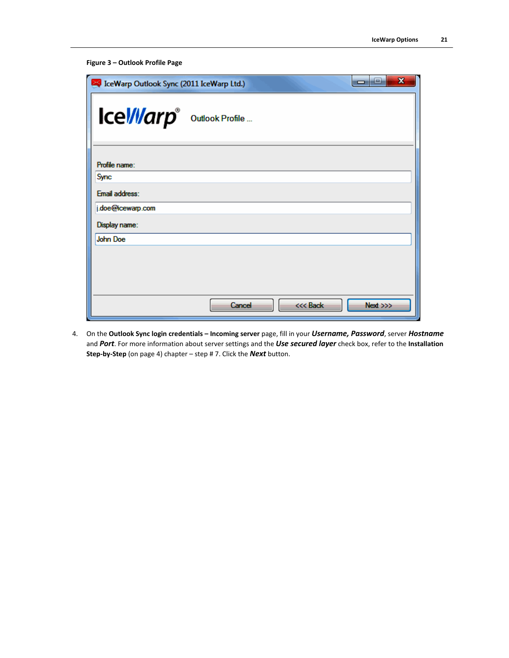```
Figure 3 – Outlook Profile Page
```

| IceWarp Outlook Sync (2011 IceWarp Ltd.) |        |          | $\mathbf x$<br>e<br>œ |
|------------------------------------------|--------|----------|-----------------------|
| Icel/larp <sup>®</sup> Outlook Profile   |        |          |                       |
| Profile name:                            |        |          |                       |
| <b>Sync</b>                              |        |          |                       |
| Email address:                           |        |          |                       |
| j.doe@icewarp.com                        |        |          |                       |
| Display name:                            |        |          |                       |
| <b>John Doe</b>                          |        |          |                       |
|                                          |        |          |                       |
|                                          |        |          |                       |
|                                          |        |          |                       |
|                                          | Cancel | <<< Back | Next >>>              |

4. On the **Outlook Sync login credentials – Incoming server** page, fill in your *Username, Password*, server *Hostname* and *Port*. For more information about server settings and the *Use secured layer* check box, refer to the **Installation Step-by-Step** (on pag[e 4\)](#page-7-0) chapter – step # 7. Click the *Next* button.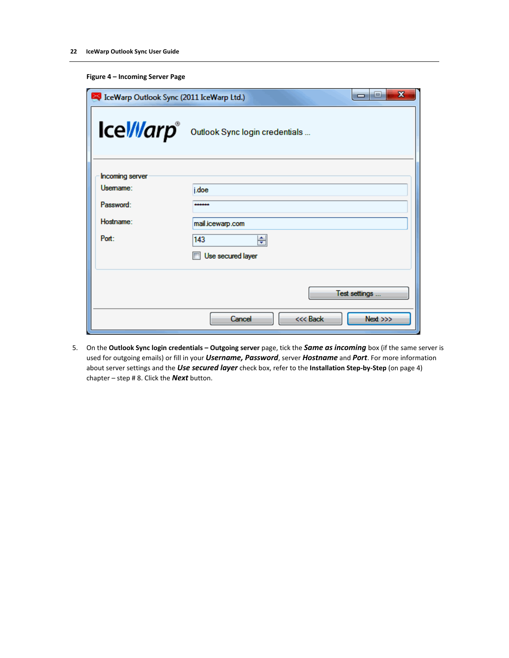|  | Figure 4 - Incoming Server Page |  |  |
|--|---------------------------------|--|--|
|--|---------------------------------|--|--|

| $\mathbf x$<br>القارد<br>IceWarp Outlook Sync (2011 IceWarp Ltd.) |                                |  |
|-------------------------------------------------------------------|--------------------------------|--|
| <b>IceWarp</b> ®                                                  | Outlook Sync login credentials |  |
| <b>Incoming server</b>                                            |                                |  |
| Usemame:                                                          | j.doe                          |  |
| Password:                                                         |                                |  |
| Hostname:                                                         | mail.icewarp.com               |  |
| Port:                                                             | 143<br>÷                       |  |
|                                                                   | Use secured layer              |  |
|                                                                   |                                |  |
|                                                                   | Test settings                  |  |
|                                                                   | Cancel<br><<< Back<br>Next     |  |

5. On the **Outlook Sync login credentials – Outgoing server** page, tick the *Same as incoming* box (if the same server is used for outgoing emails) or fill in your *Username, Password*, server *Hostname* and *Port*. For more information about server settings and the *Use secured layer* check box, refer to the **Installation Step-by-Step** (on pag[e 4\)](#page-7-0) chapter – step # 8. Click the *Next* button.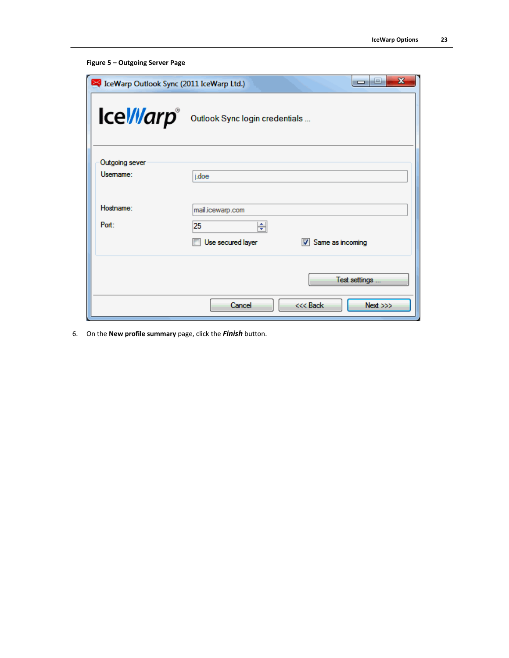```
Figure 5 – Outgoing Server Page
```

| $\mathbf x$<br>نعاده<br>IceWarp Outlook Sync (2011 IceWarp Ltd.) |                                                                      |  |
|------------------------------------------------------------------|----------------------------------------------------------------------|--|
| <b>IceWarp</b> ®                                                 | Outlook Sync login credentials                                       |  |
| Outgoing sever<br>Usemame:                                       | j.doe                                                                |  |
| Hostname:<br>Port:                                               | mail.icewarp.com<br>25<br>÷<br>Same as incoming<br>Use secured layer |  |
|                                                                  | Test settings<br><<< Back<br>Cancel<br>Next                          |  |

6. On the **New profile summary** page, click the *Finish* button.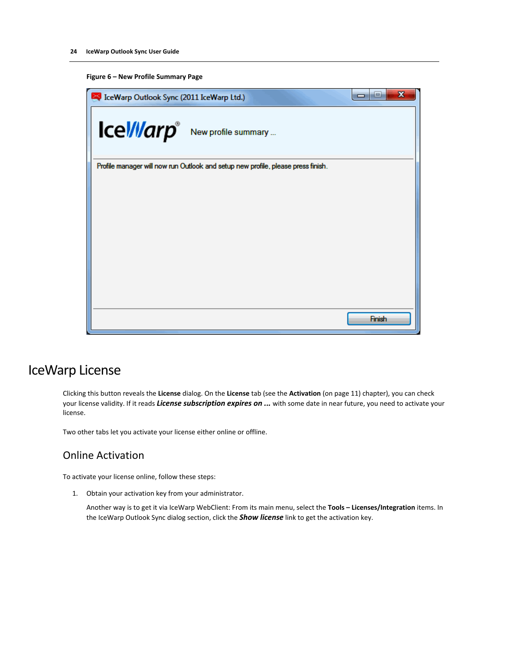#### **Figure 6 – New Profile Summary Page**

| IceWarp Outlook Sync (2011 IceWarp Ltd.) |                                                                                  | X<br>ie,<br>$\Box$ |
|------------------------------------------|----------------------------------------------------------------------------------|--------------------|
|                                          | Icel/llarp <sup>®</sup> New profile summary                                      |                    |
|                                          | Profile manager will now run Outlook and setup new profile, please press finish. |                    |
|                                          |                                                                                  |                    |
|                                          |                                                                                  |                    |
|                                          |                                                                                  |                    |
|                                          |                                                                                  |                    |
|                                          |                                                                                  |                    |
|                                          |                                                                                  |                    |
|                                          |                                                                                  |                    |
|                                          |                                                                                  | Finish             |

### <span id="page-27-0"></span>IceWarp License

Clicking this button reveals the **License** dialog. On the **License** tab (see the **Activation** (on pag[e 11\)](#page-14-0) chapter), you can check your license validity. If it reads *License subscription expires on ...* with some date in near future, you need to activate your license.

Two other tabs let you activate your license either online or offline.

#### Online Activation

To activate your license online, follow these steps:

1. Obtain your activation key from your administrator.

Another way is to get it via IceWarp WebClient: From its main menu, select the **Tools – Licenses/Integration** items. In the IceWarp Outlook Sync dialog section, click the *Show license* link to get the activation key.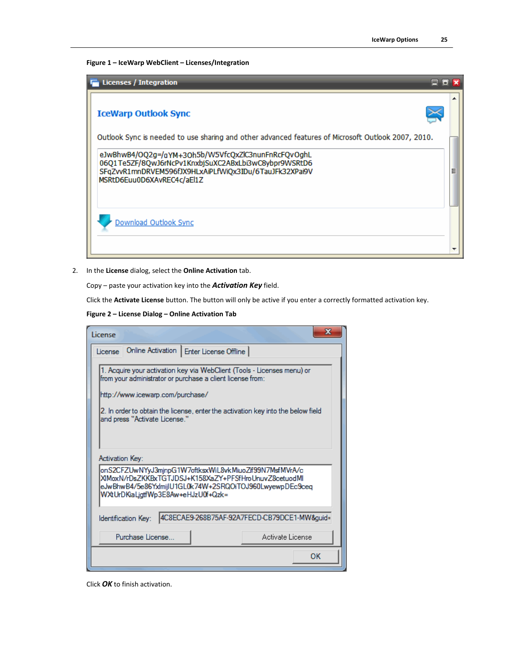**Figure 1 – IceWarp WebClient – Licenses/Integration**



2. In the **License** dialog, select the **Online Activation** tab.

Copy – paste your activation key into the *Activation Key* field.

Click the **Activate License** button. The button will only be active if you enter a correctly formatted activation key.

**Figure 2 – License Dialog – Online Activation Tab**

| License                                                                                                                                                                                                                                                                                        | ж  |
|------------------------------------------------------------------------------------------------------------------------------------------------------------------------------------------------------------------------------------------------------------------------------------------------|----|
| Online Activation   Enter License Offline  <br>License                                                                                                                                                                                                                                         |    |
| 1. Acquire your activation key via WebClient (Tools - Licenses menu) or<br>from your administrator or purchase a client license from:<br>http://www.icewarp.com/purchase/<br>2. In order to obtain the license, enter the activation key into the below field<br>and press "Activate License." |    |
| Activation Kev:                                                                                                                                                                                                                                                                                |    |
| onS2CFZUwNYyJ3mjnpG1W7oftksxWiL8vkMiuoZif99N7MsfMVrA/c<br>XIMoxN/rDsZKKBxTGTJDSJ+K158XaZY+PFSfHroUnuvZ8cetuodMl<br>eJwBhwB4/5e86YxImijIU1GL0k74W+2SRQOiTOJ960LwyewpDEc9ceq<br>WXtUrDKiaLjgtfWp3E8Aw+eHJzU0f+Qzk=                                                                               |    |
| 4C8ECAE9-268B75AF-92A7FECD-CB79DCE1-MW&guid=<br>Identification Key:                                                                                                                                                                                                                            |    |
| Purchase License<br>Activate License                                                                                                                                                                                                                                                           |    |
|                                                                                                                                                                                                                                                                                                | OК |

Click *OK* to finish activation.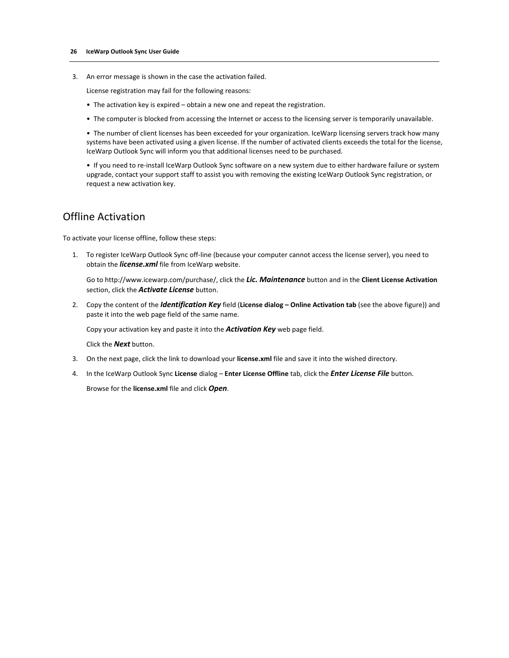3. An error message is shown in the case the activation failed.

License registration may fail for the following reasons:

- The activation key is expired obtain a new one and repeat the registration.
- The computer is blocked from accessing the Internet or access to the licensing server is temporarily unavailable.

• The number of client licenses has been exceeded for your organization. IceWarp licensing servers track how many systems have been activated using a given license. If the number of activated clients exceeds the total for the license, IceWarp Outlook Sync will inform you that additional licenses need to be purchased.

• If you need to re-install IceWarp Outlook Sync software on a new system due to either hardware failure or system upgrade, contact your support staff to assist you with removing the existing IceWarp Outlook Sync registration, or request a new activation key.

#### Offline Activation

To activate your license offline, follow these steps:

1. To register IceWarp Outlook Sync off-line (because your computer cannot access the license server), you need to obtain the *license.xml* file from IceWarp website.

Go to http://www.icewarp.com/purchase/, click the *Lic. Maintenance* button and in the **Client License Activation** section, click the *Activate License* button.

2. Copy the content of the *Identification Key* field (License dialog – Online Activation tab (see the above figure)) and paste it into the web page field of the same name.

Copy your activation key and paste it into the *Activation Key* web page field.

Click the *Next* button.

- 3. On the next page, click the link to download your **license.xml** file and save it into the wished directory.
- 4. In the IceWarp Outlook Sync **License** dialog **Enter License Offline** tab, click the *Enter License File* button.

Browse for the **license.xml** file and click *Open*.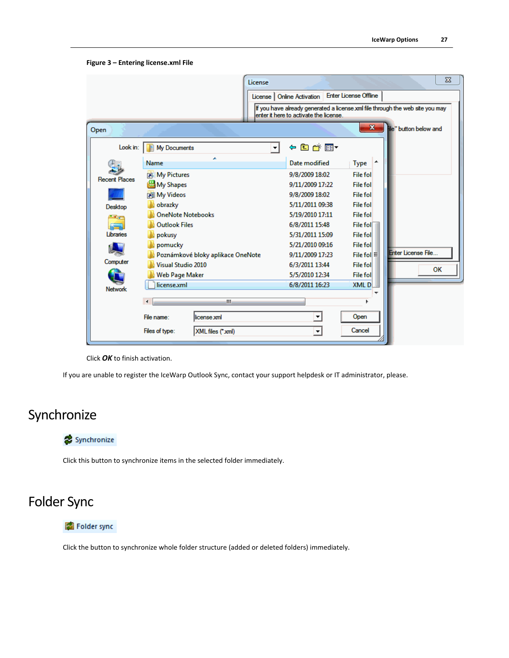**Figure 3 – Entering license.xml File**

|                      | License                              | License   Online Activation<br>enter it here to activate the license. | $\Sigma$<br><b>Enter License Offline</b><br>If you have already generated a license xml file through the web site you may |
|----------------------|--------------------------------------|-----------------------------------------------------------------------|---------------------------------------------------------------------------------------------------------------------------|
| Open                 |                                      |                                                                       | $\mathbf{x}$<br>le" button below and                                                                                      |
| Look in:             | My Documents<br>$\blacktriangledown$ | ←自び囲▼                                                                 |                                                                                                                           |
|                      | ×<br>Name                            | Date modified                                                         | <b>Type</b>                                                                                                               |
| <b>Recent Places</b> | <b>Rall My Pictures</b>              | 9/8/2009 18:02                                                        | File fol                                                                                                                  |
|                      | <b>過My Shapes</b>                    | 9/11/2009 17:22                                                       | File fol                                                                                                                  |
|                      | <b>Rill My Videos</b>                | 9/8/2009 18:02                                                        | <b>File fol</b>                                                                                                           |
| <b>Desktop</b>       | obrazky                              | 5/11/2011 09:38                                                       | File fol                                                                                                                  |
|                      | <b>OneNote Notebooks</b>             | 5/19/2010 17:11                                                       | <b>File fol</b>                                                                                                           |
|                      | <b>Outlook Files</b>                 | 6/8/2011 15:48                                                        | File fol                                                                                                                  |
| Libraries            | pokusy                               | 5/31/2011 15:09                                                       | File foll                                                                                                                 |
|                      | pomucky                              | 5/21/2010 09:16                                                       | File foll                                                                                                                 |
|                      | Poznámkové bloky aplikace OneNote    | 9/11/2009 17:23                                                       | <b>Enter License File</b><br>File fol $\equiv$                                                                            |
| Computer             | Visual Studio 2010                   | 6/3/2011 13:44                                                        | File foll<br>OK                                                                                                           |
|                      | Web Page Maker                       | 5/5/2010 12:34                                                        | File foll                                                                                                                 |
| <b>Network</b>       | license.xml                          | 6/8/2011 16:23                                                        | <b>XMLD</b>                                                                                                               |
|                      |                                      |                                                                       |                                                                                                                           |
|                      | Ш<br>к                               |                                                                       |                                                                                                                           |
|                      | File name:<br>license xml            | ▼                                                                     | Open                                                                                                                      |
|                      | Files of type:<br>XML files (*xml)   | $\overline{\phantom{a}}$                                              | Cancel                                                                                                                    |

Click *OK* to finish activation.

If you are unable to register the IceWarp Outlook Sync, contact your support helpdesk or IT administrator, please.

## <span id="page-30-0"></span>Synchronize

#### Synchronize

Click this button to synchronize items in the selected folder immediately.

## <span id="page-30-1"></span>Folder Sync

#### Folder sync

Click the button to synchronize whole folder structure (added or deleted folders) immediately.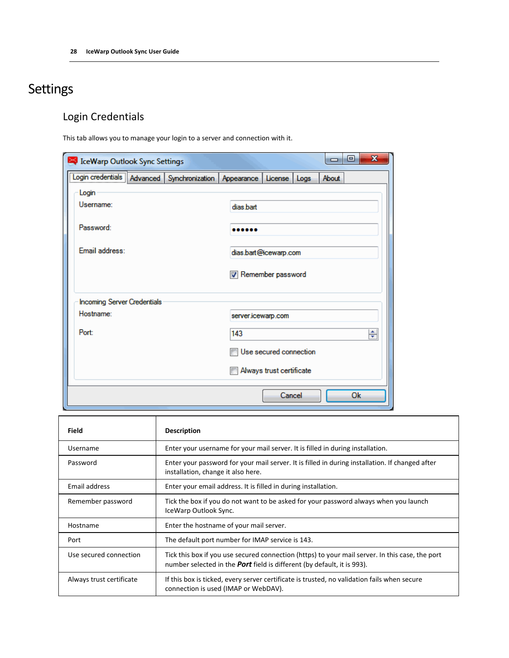## <span id="page-31-0"></span>Settings

## Login Credentials

This tab allows you to manage your login to a server and connection with it.

| IceWarp Outlook Sync Settings                                                |  |                            |                          | X<br>▣<br>- |
|------------------------------------------------------------------------------|--|----------------------------|--------------------------|-------------|
| Login credentials   Advanced   Synchronization   Appearance   License   Logs |  |                            |                          | About       |
| Login                                                                        |  |                            |                          |             |
| Username:                                                                    |  | dias.bart                  |                          |             |
| Password:                                                                    |  |                            |                          |             |
| <b>Email address:</b>                                                        |  | dias.bart@icewarp.com      |                          |             |
|                                                                              |  | <b>V</b> Remember password |                          |             |
| <b>Incoming Server Credentials</b>                                           |  |                            |                          |             |
| Hostname:                                                                    |  | server.icewarp.com         |                          |             |
| Port:                                                                        |  | 143                        |                          | ÷           |
|                                                                              |  |                            | Use secured connection   |             |
|                                                                              |  |                            | Always trust certificate |             |
|                                                                              |  |                            | Cancel                   | Ok          |

| Field                    | <b>Description</b>                                                                                                                                                                |
|--------------------------|-----------------------------------------------------------------------------------------------------------------------------------------------------------------------------------|
| Username                 | Enter your username for your mail server. It is filled in during installation.                                                                                                    |
| Password                 | Enter your password for your mail server. It is filled in during installation. If changed after<br>installation, change it also here.                                             |
| Email address            | Enter your email address. It is filled in during installation.                                                                                                                    |
| Remember password        | Tick the box if you do not want to be asked for your password always when you launch<br>IceWarp Outlook Sync.                                                                     |
| Hostname                 | Enter the hostname of your mail server.                                                                                                                                           |
| Port                     | The default port number for IMAP service is 143.                                                                                                                                  |
| Use secured connection   | Tick this box if you use secured connection (https) to your mail server. In this case, the port<br>number selected in the <b>Port</b> field is different (by default, it is 993). |
| Always trust certificate | If this box is ticked, every server certificate is trusted, no validation fails when secure<br>connection is used (IMAP or WebDAV).                                               |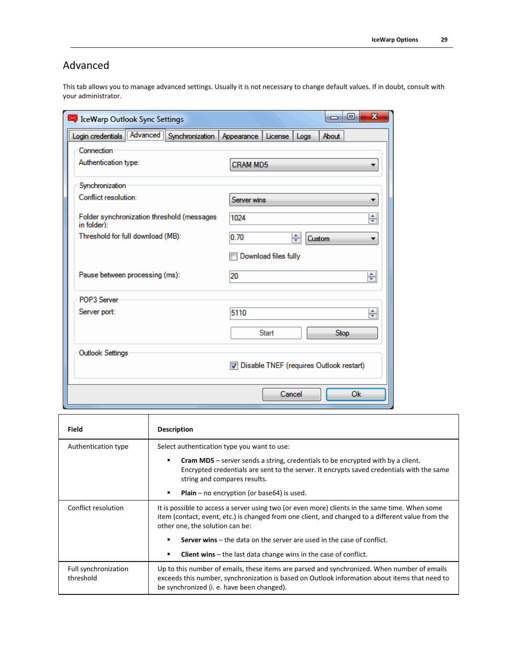### Advanced

This tab allows you to manage advanced settings. Usually it is not necessary to change default values. If in doubt, consult with your administrator.

| <b>Explorer Section Control Sections</b>                  | $\mathbf x$<br>叵                        |
|-----------------------------------------------------------|-----------------------------------------|
| Login credentials Advanced Synchronization                | Appearance<br>About<br>License<br>Logs  |
| Connection                                                |                                         |
| Authentication type:                                      | <b>CRAM MD5</b>                         |
| Synchronization                                           |                                         |
| Conflict resolution:                                      | Server wins<br>▼                        |
| Folder synchronization threshold (messages<br>in folder): | ÷<br>1024                               |
| Threshold for full download (MB):                         | 0.70<br>÷<br><b>Custom</b><br>▼         |
|                                                           | Download files fully                    |
| Pause between processing (ms):                            | 20<br>÷                                 |
| POP3 Server                                               |                                         |
| Server port:                                              | 5110<br>÷                               |
|                                                           | <b>Start</b><br><b>Stop</b>             |
| <b>Outlook Settings</b>                                   |                                         |
|                                                           | Disable TNEF (requires Outlook restart) |
|                                                           | Cancel<br>Ok                            |

| Field                             | <b>Description</b>                                                                                                                                                                                                                         |  |
|-----------------------------------|--------------------------------------------------------------------------------------------------------------------------------------------------------------------------------------------------------------------------------------------|--|
| Authentication type               | Select authentication type you want to use:                                                                                                                                                                                                |  |
|                                   | <b>Cram MD5</b> – server sends a string, credentials to be encrypted with by a client.<br>٠<br>Encrypted credentials are sent to the server. It encrypts saved credentials with the same<br>string and compares results.                   |  |
|                                   | <b>Plain</b> – no encryption (or base 64) is used.<br>٠                                                                                                                                                                                    |  |
| Conflict resolution               | It is possible to access a server using two (or even more) clients in the same time. When some<br>item (contact, event, etc.) is changed from one client, and changed to a different value from the<br>other one, the solution can be:     |  |
|                                   | <b>Server wins</b> $-$ the data on the server are used in the case of conflict.<br>$\blacksquare$                                                                                                                                          |  |
|                                   | <b>Client wins</b> $-$ the last data change wins in the case of conflict.<br>٠                                                                                                                                                             |  |
| Full synchronization<br>threshold | Up to this number of emails, these items are parsed and synchronized. When number of emails<br>exceeds this number, synchronization is based on Outlook information about items that need to<br>be synchronized (i. e. have been changed). |  |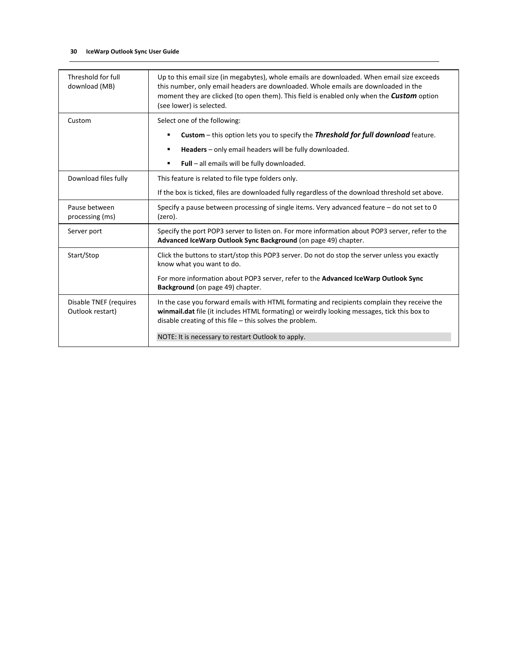| Threshold for full<br>download (MB)        | Up to this email size (in megabytes), whole emails are downloaded. When email size exceeds<br>this number, only email headers are downloaded. Whole emails are downloaded in the<br>moment they are clicked (to open them). This field is enabled only when the <b>Custom</b> option<br>(see lower) is selected. |
|--------------------------------------------|------------------------------------------------------------------------------------------------------------------------------------------------------------------------------------------------------------------------------------------------------------------------------------------------------------------|
| Custom                                     | Select one of the following:                                                                                                                                                                                                                                                                                     |
|                                            | <b>Custom</b> – this option lets you to specify the <b>Threshold for full download</b> feature.<br>٠                                                                                                                                                                                                             |
|                                            | Headers - only email headers will be fully downloaded.<br>٠                                                                                                                                                                                                                                                      |
|                                            | Full - all emails will be fully downloaded.<br>٠                                                                                                                                                                                                                                                                 |
| Download files fully                       | This feature is related to file type folders only.                                                                                                                                                                                                                                                               |
|                                            | If the box is ticked, files are downloaded fully regardless of the download threshold set above.                                                                                                                                                                                                                 |
| Pause between<br>processing (ms)           | Specify a pause between processing of single items. Very advanced feature – do not set to 0<br>(zero).                                                                                                                                                                                                           |
| Server port                                | Specify the port POP3 server to listen on. For more information about POP3 server, refer to the<br>Advanced IceWarp Outlook Sync Background (on page 49) chapter.                                                                                                                                                |
| Start/Stop                                 | Click the buttons to start/stop this POP3 server. Do not do stop the server unless you exactly<br>know what you want to do.                                                                                                                                                                                      |
|                                            | For more information about POP3 server, refer to the Advanced IceWarp Outlook Sync<br>Background (on page 49) chapter.                                                                                                                                                                                           |
| Disable TNEF (requires<br>Outlook restart) | In the case you forward emails with HTML formating and recipients complain they receive the<br>winmail.dat file (it includes HTML formating) or weirdly looking messages, tick this box to<br>disable creating of this file $-$ this solves the problem.                                                         |
|                                            | NOTE: It is necessary to restart Outlook to apply.                                                                                                                                                                                                                                                               |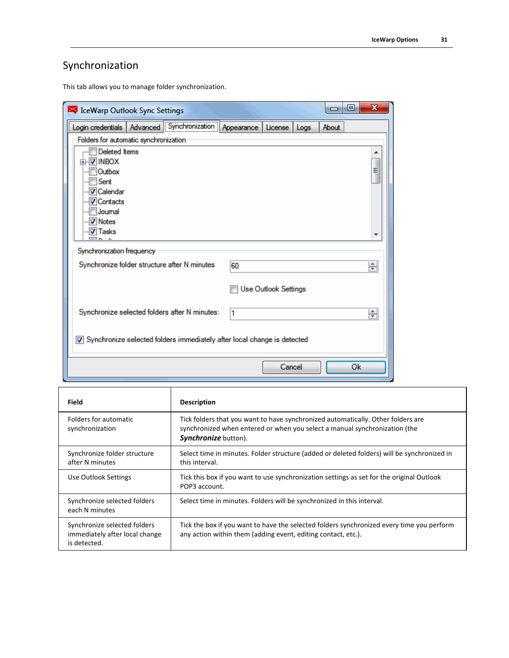## Synchronization

This tab allows you to manage folder synchronization.

| <b>S</b> IceWarp Outlook Sync Settings                                  | $\overline{\mathbf{x}}$<br>▣<br>—     |
|-------------------------------------------------------------------------|---------------------------------------|
| Login credentials   Advanced   Synchronization                          | License   Logs<br>About<br>Appearance |
| Folders for automatic synchronization                                   |                                       |
| <b>Deleted Items</b>                                                    |                                       |
| <b>⊞ VINBOX</b>                                                         |                                       |
| <b>Outbox</b>                                                           | Ξ                                     |
| Sent<br>… <mark>√ Calendar</mark>                                       |                                       |
| -- V Contacts                                                           |                                       |
| Joumal                                                                  |                                       |
| <sup></sup> V Notes                                                     |                                       |
| <b>V</b> Tasks                                                          |                                       |
| Synchronization frequency                                               |                                       |
|                                                                         |                                       |
| Synchronize folder structure after N minutes                            | 60<br>÷                               |
|                                                                         |                                       |
|                                                                         | <b>Use Outlook Settings</b>           |
| Synchronize selected folders after N minutes:                           |                                       |
|                                                                         | ÷<br>l1                               |
|                                                                         |                                       |
| Synchronize selected folders immediately after local change is detected |                                       |
|                                                                         |                                       |
|                                                                         | <b>Ok</b><br>Cancel                   |
|                                                                         |                                       |

| <b>Field</b>                                                                   | <b>Description</b>                                                                                                                                                                            |
|--------------------------------------------------------------------------------|-----------------------------------------------------------------------------------------------------------------------------------------------------------------------------------------------|
| Folders for automatic<br>synchronization                                       | Tick folders that you want to have synchronized automatically. Other folders are<br>synchronized when entered or when you select a manual synchronization (the<br><b>Synchronize</b> button). |
| Synchronize folder structure<br>after N minutes                                | Select time in minutes. Folder structure (added or deleted folders) will be synchronized in<br>this interval.                                                                                 |
| Use Outlook Settings                                                           | Tick this box if you want to use synchronization settings as set for the original Outlook<br>POP3 account.                                                                                    |
| Synchronize selected folders<br>each N minutes                                 | Select time in minutes. Folders will be synchronized in this interval.                                                                                                                        |
| Synchronize selected folders<br>immediately after local change<br>is detected. | Tick the box if you want to have the selected folders synchronized every time you perform<br>any action within them (adding event, editing contact, etc.).                                    |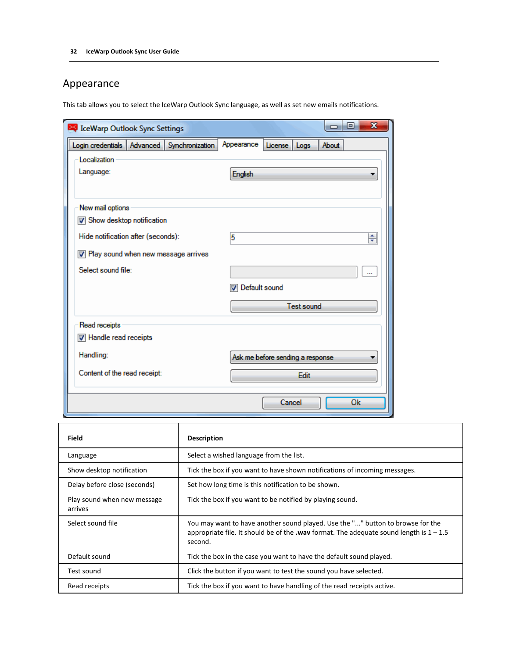### Appearance

This tab allows you to select the IceWarp Outlook Sync language, as well as set new emails notifications.

| IceWarp Outlook Sync Settings                  | x<br>回                                 |
|------------------------------------------------|----------------------------------------|
| Login credentials   Advanced   Synchronization | Appearance<br>About<br>License<br>Logs |
| Localization                                   |                                        |
| Language:                                      | <b>English</b>                         |
|                                                |                                        |
| New mail options                               |                                        |
| Show desktop notification                      |                                        |
| Hide notification after (seconds):             | 5<br>÷                                 |
| 7 Play sound when new message arrives          |                                        |
| Select sound file:                             |                                        |
|                                                | Default sound                          |
|                                                | <b>Test sound</b>                      |
| Read receipts                                  |                                        |
| Handle read receipts                           |                                        |
| Handling:                                      | Ask me before sending a response       |
| Content of the read receipt:                   | <b>Edit</b>                            |
|                                                | Cancel<br><b>Ok</b>                    |

| Field                                  | <b>Description</b>                                                                                                                                                                           |  |
|----------------------------------------|----------------------------------------------------------------------------------------------------------------------------------------------------------------------------------------------|--|
| Language                               | Select a wished language from the list.                                                                                                                                                      |  |
| Show desktop notification              | Tick the box if you want to have shown notifications of incoming messages.                                                                                                                   |  |
| Delay before close (seconds)           | Set how long time is this notification to be shown.                                                                                                                                          |  |
| Play sound when new message<br>arrives | Tick the box if you want to be notified by playing sound.                                                                                                                                    |  |
| Select sound file                      | You may want to have another sound played. Use the "" button to browse for the<br>appropriate file. It should be of the <b>wav</b> format. The adequate sound length is $1 - 1.5$<br>second. |  |
| Default sound                          | Tick the box in the case you want to have the default sound played.                                                                                                                          |  |
| Test sound                             | Click the button if you want to test the sound you have selected.                                                                                                                            |  |
| Read receipts                          | Tick the box if you want to have handling of the read receipts active.                                                                                                                       |  |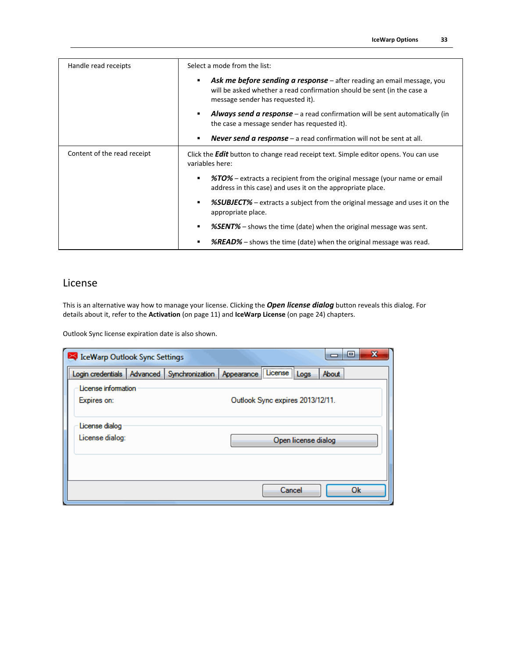| Handle read receipts        | Select a mode from the list:                                                                                                                                                                  |  |  |  |
|-----------------------------|-----------------------------------------------------------------------------------------------------------------------------------------------------------------------------------------------|--|--|--|
|                             | <b>Ask me before sending a response</b> – after reading an email message, you<br>will be asked whether a read confirmation should be sent (in the case a<br>message sender has requested it). |  |  |  |
|                             | <b>Always send a response</b> – a read confirmation will be sent automatically (in<br>the case a message sender has requested it).                                                            |  |  |  |
|                             | <b>Never send a response</b> – a read confirmation will not be sent at all.                                                                                                                   |  |  |  |
| Content of the read receipt | Click the <b>Edit</b> button to change read receipt text. Simple editor opens. You can use<br>variables here:                                                                                 |  |  |  |
|                             | <b>%TO%</b> – extracts a recipient from the original message (your name or email<br>address in this case) and uses it on the appropriate place.                                               |  |  |  |
|                             | <b>%SUBJECT%</b> – extracts a subject from the original message and uses it on the<br>٠<br>appropriate place.                                                                                 |  |  |  |
|                             | <b>%SENT%</b> – shows the time (date) when the original message was sent.                                                                                                                     |  |  |  |
|                             | <b>%READ%</b> – shows the time (date) when the original message was read.                                                                                                                     |  |  |  |

#### License

This is an alternative way how to manage your license. Clicking the *Open license dialog* button reveals this dialog. For details about it, refer to the **Activation** (on pag[e 11\)](#page-14-0) and **IceWarp License** (on pag[e 24\)](#page-27-0) chapters.

Outlook Sync license expiration date is also shown.

| S IceWarp Outlook Sync Settings                |  |                                                        | e     | X |
|------------------------------------------------|--|--------------------------------------------------------|-------|---|
| Login credentials   Advanced   Synchronization |  | ,,,,,,,,,,,,,,,,,,,,,,,<br>Appearance   License   Logs | About |   |
| License information                            |  |                                                        |       |   |
| Expires on:                                    |  | Outlook Sync expires 2013/12/11.                       |       |   |
|                                                |  |                                                        |       |   |
| License dialog                                 |  |                                                        |       |   |
| License dialog:                                |  | Open license dialog                                    |       |   |
|                                                |  |                                                        |       |   |
|                                                |  |                                                        |       |   |
|                                                |  |                                                        |       |   |
|                                                |  | Cancel                                                 | Ok    |   |
|                                                |  |                                                        |       |   |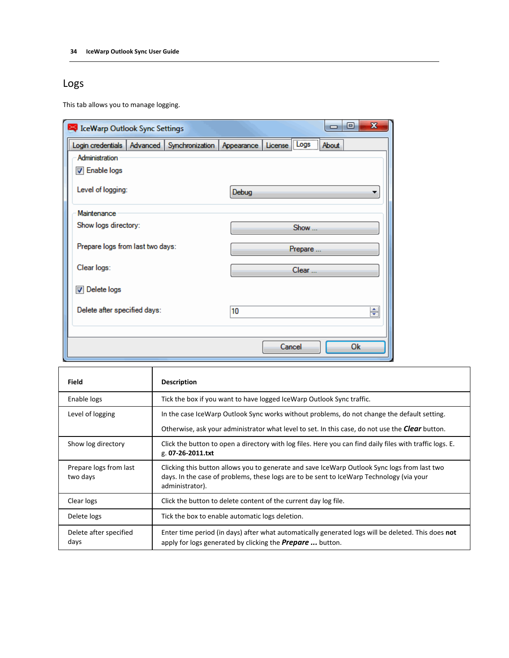### Logs

This tab allows you to manage logging.

| $\overline{\mathbf{x}}$<br>o<br>S IceWarp Outlook Sync Settings<br>- |            |              |       |  |
|----------------------------------------------------------------------|------------|--------------|-------|--|
| Login credentials   Advanced   Synchronization                       | Appearance | License Logs | About |  |
| Administration                                                       |            |              |       |  |
| <b>Z</b> Enable logs                                                 |            |              |       |  |
| Level of logging:                                                    | Debug      |              | ▼     |  |
| Maintenance                                                          |            |              |       |  |
| Show logs directory:                                                 |            | Show         |       |  |
| Prepare logs from last two days:                                     |            | Prepare      |       |  |
| Clear logs:                                                          |            | Clear        |       |  |
| Delete logs                                                          |            |              |       |  |
| Delete after specified days:                                         | 10         |              | ÷     |  |
|                                                                      |            |              |       |  |
|                                                                      |            | Cancel       | Ok    |  |

| Field                              | <b>Description</b>                                                                                                                                                                                          |
|------------------------------------|-------------------------------------------------------------------------------------------------------------------------------------------------------------------------------------------------------------|
| Enable logs                        | Tick the box if you want to have logged IceWarp Outlook Sync traffic.                                                                                                                                       |
| Level of logging                   | In the case IceWarp Outlook Sync works without problems, do not change the default setting.                                                                                                                 |
|                                    | Otherwise, ask your administrator what level to set. In this case, do not use the <b>Clear</b> button.                                                                                                      |
| Show log directory                 | Click the button to open a directory with log files. Here you can find daily files with traffic logs. E.<br>g. 07-26-2011.txt                                                                               |
| Prepare logs from last<br>two days | Clicking this button allows you to generate and save IceWarp Outlook Sync logs from last two<br>days. In the case of problems, these logs are to be sent to IceWarp Technology (via your<br>administrator). |
| Clear logs                         | Click the button to delete content of the current day log file.                                                                                                                                             |
| Delete logs                        | Tick the box to enable automatic logs deletion.                                                                                                                                                             |
| Delete after specified<br>days     | Enter time period (in days) after what automatically generated logs will be deleted. This does not<br>apply for logs generated by clicking the <b>Prepare</b> button.                                       |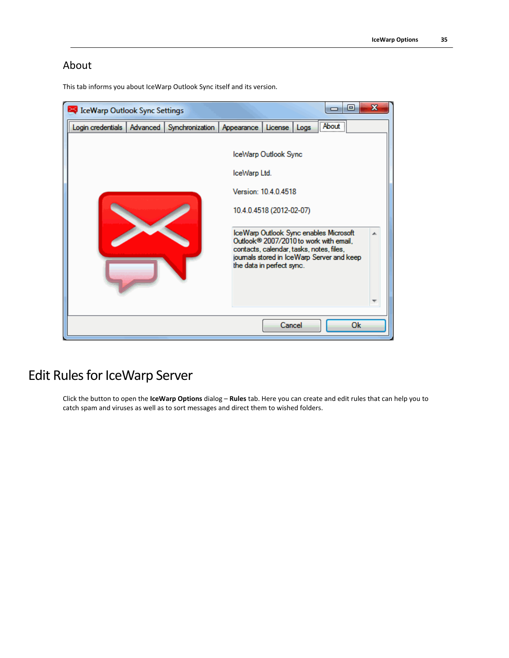### About

This tab informs you about IceWarp Outlook Sync itself and its version.

| <b>IceWarp Outlook Sync Settings</b>           |  |  |              |                                                                                                                                                                                                                                                                                                 | E                  | $\overline{\mathbf{x}}$ |
|------------------------------------------------|--|--|--------------|-------------------------------------------------------------------------------------------------------------------------------------------------------------------------------------------------------------------------------------------------------------------------------------------------|--------------------|-------------------------|
| Login credentials   Advanced   Synchronization |  |  | Appearance   | License<br>Logs                                                                                                                                                                                                                                                                                 | . <u></u><br>About |                         |
|                                                |  |  | IceWarp Ltd. | IceWarp Outlook Sync<br>Version: 10.4.0.4518<br>10.4.0.4518 (2012-02-07)<br>IceWarp Outlook Sync enables Microsoft<br>Outlook <sup>®</sup> 2007/2010 to work with email,<br>contacts, calendar, tasks, notes, files,<br>journals stored in IceWarp Server and keep<br>the data in perfect sync. |                    |                         |
| Ok<br>Cancel                                   |  |  |              |                                                                                                                                                                                                                                                                                                 |                    |                         |

## <span id="page-38-0"></span>Edit Rules for IceWarp Server

Click the button to open the **IceWarp Options** dialog – **Rules** tab. Here you can create and edit rules that can help you to catch spam and viruses as well as to sort messages and direct them to wished folders.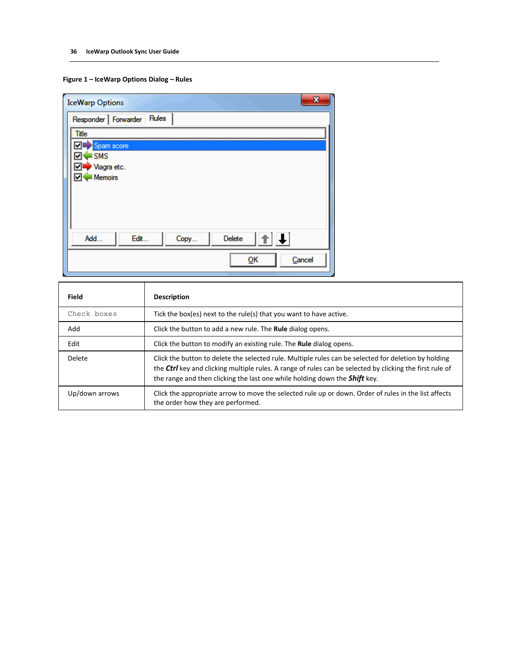#### **Figure 1 – IceWarp Options Dialog – Rules**

| $\mathbf{x}$<br><b>IceWarp Options</b>                        |
|---------------------------------------------------------------|
| Responder   Forwarder<br>Rules                                |
| <b>Title</b>                                                  |
| Spam score<br>⊡                                               |
| $\blacksquare$ SMS<br>▿                                       |
| ⊽<br>Viagra etc.<br>Memoirs<br>⊡                              |
|                                                               |
|                                                               |
|                                                               |
|                                                               |
| $  \mathbf{f}  \mathbf{f}  $<br>Delete<br>Edit<br>Add<br>Copy |
| ŌΚ<br>Cancel                                                  |

| Field          | <b>Description</b>                                                                                                                                                                                                                                                                                    |
|----------------|-------------------------------------------------------------------------------------------------------------------------------------------------------------------------------------------------------------------------------------------------------------------------------------------------------|
| Check boxes    | Tick the box(es) next to the rule(s) that you want to have active.                                                                                                                                                                                                                                    |
| Add            | Click the button to add a new rule. The <b>Rule</b> dialog opens.                                                                                                                                                                                                                                     |
| Edit           | Click the button to modify an existing rule. The <b>Rule</b> dialog opens.                                                                                                                                                                                                                            |
| Delete         | Click the button to delete the selected rule. Multiple rules can be selected for deletion by holding<br>the Ctrl key and clicking multiple rules. A range of rules can be selected by clicking the first rule of<br>the range and then clicking the last one while holding down the <b>Shift</b> key. |
| Up/down arrows | Click the appropriate arrow to move the selected rule up or down. Order of rules in the list affects<br>the order how they are performed.                                                                                                                                                             |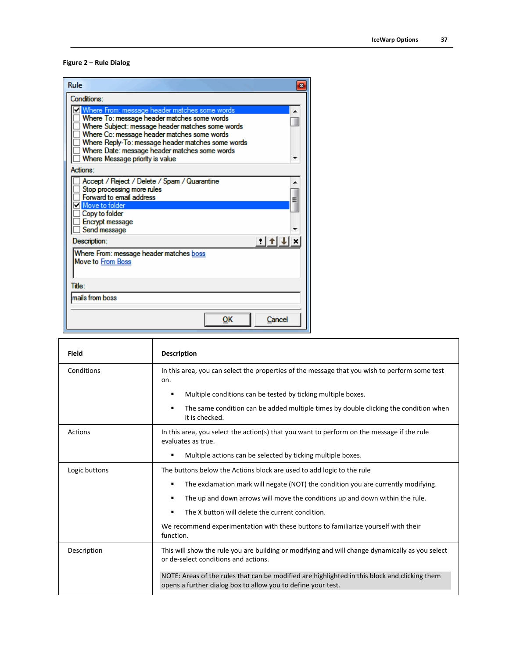#### **Figure 2 – Rule Dialog**

| Rule<br>$\mathbf{z}$                                                                                                                                                                                                                                                                                                                       |
|--------------------------------------------------------------------------------------------------------------------------------------------------------------------------------------------------------------------------------------------------------------------------------------------------------------------------------------------|
| Conditions:                                                                                                                                                                                                                                                                                                                                |
| V Where From: message header matches some words<br>Where To: message header matches some words<br>Where Subject: message header matches some words<br>Where Cc: message header matches some words<br>Where Reply-To: message header matches some words<br>Where Date: message header matches some words<br>Where Message priority is value |
| Actions:                                                                                                                                                                                                                                                                                                                                   |
| Accept / Reject / Delete / Spam / Quarantine<br>Stop processing more rules<br>Forward to email address<br>Ξ<br>Move to folder<br>Copy to folder<br>Encrypt message<br>Send message                                                                                                                                                         |
| Description:<br>ti ti                                                                                                                                                                                                                                                                                                                      |
| Where From: message header matches boss<br><b>Move to From Boss</b><br>Title:                                                                                                                                                                                                                                                              |
|                                                                                                                                                                                                                                                                                                                                            |
| mails from boss                                                                                                                                                                                                                                                                                                                            |
| ок<br>Cancel                                                                                                                                                                                                                                                                                                                               |

| Field          | <b>Description</b>                                                                                                                                            |  |  |  |
|----------------|---------------------------------------------------------------------------------------------------------------------------------------------------------------|--|--|--|
| Conditions     | In this area, you can select the properties of the message that you wish to perform some test<br>on.                                                          |  |  |  |
|                | Multiple conditions can be tested by ticking multiple boxes.<br>٠                                                                                             |  |  |  |
|                | The same condition can be added multiple times by double clicking the condition when<br>$\blacksquare$<br>it is checked.                                      |  |  |  |
| <b>Actions</b> | In this area, you select the action(s) that you want to perform on the message if the rule<br>evaluates as true.                                              |  |  |  |
|                | Multiple actions can be selected by ticking multiple boxes.<br>٠                                                                                              |  |  |  |
| Logic buttons  | The buttons below the Actions block are used to add logic to the rule                                                                                         |  |  |  |
|                | The exclamation mark will negate (NOT) the condition you are currently modifying.<br>٠                                                                        |  |  |  |
|                | The up and down arrows will move the conditions up and down within the rule.<br>٠                                                                             |  |  |  |
|                | The X button will delete the current condition.<br>$\blacksquare$                                                                                             |  |  |  |
|                | We recommend experimentation with these buttons to familiarize yourself with their<br>function.                                                               |  |  |  |
| Description    | This will show the rule you are building or modifying and will change dynamically as you select<br>or de-select conditions and actions.                       |  |  |  |
|                | NOTE: Areas of the rules that can be modified are highlighted in this block and clicking them<br>opens a further dialog box to allow you to define your test. |  |  |  |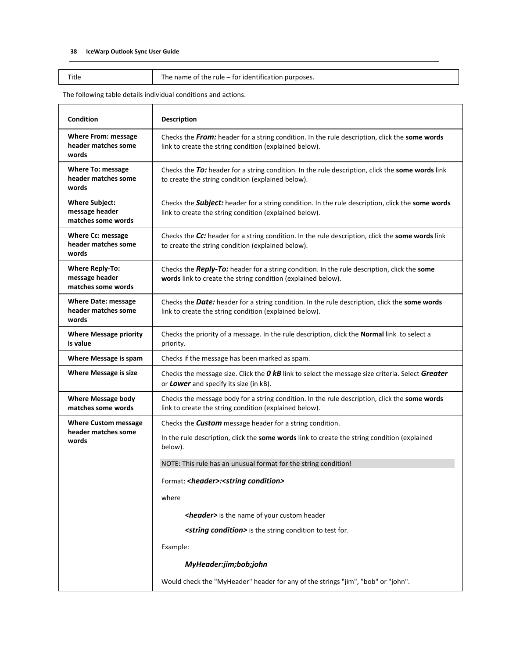Title The name of the rule – for identification purposes.

The following table details individual conditions and actions.

| Condition                                                      | <b>Description</b>                                                                                                                                                |  |  |
|----------------------------------------------------------------|-------------------------------------------------------------------------------------------------------------------------------------------------------------------|--|--|
| <b>Where From: message</b><br>header matches some<br>words     | Checks the From: header for a string condition. In the rule description, click the some words<br>link to create the string condition (explained below).           |  |  |
| <b>Where To: message</b><br>header matches some<br>words       | Checks the To: header for a string condition. In the rule description, click the some words link<br>to create the string condition (explained below).             |  |  |
| <b>Where Subject:</b><br>message header<br>matches some words  | Checks the <b>Subject:</b> header for a string condition. In the rule description, click the some words<br>link to create the string condition (explained below). |  |  |
| <b>Where Cc: message</b><br>header matches some<br>words       | Checks the Cc: header for a string condition. In the rule description, click the some words link<br>to create the string condition (explained below).             |  |  |
| <b>Where Reply-To:</b><br>message header<br>matches some words | Checks the Reply-To: header for a string condition. In the rule description, click the some<br>words link to create the string condition (explained below).       |  |  |
| <b>Where Date: message</b><br>header matches some<br>words     | Checks the Date: header for a string condition. In the rule description, click the some words<br>link to create the string condition (explained below).           |  |  |
| <b>Where Message priority</b><br>is value                      | Checks the priority of a message. In the rule description, click the Normal link to select a<br>priority.                                                         |  |  |
| Where Message is spam                                          | Checks if the message has been marked as spam.                                                                                                                    |  |  |
| <b>Where Message is size</b>                                   | Checks the message size. Click the O kB link to select the message size criteria. Select Greater<br>or Lower and specify its size (in kB).                        |  |  |
| <b>Where Message body</b><br>matches some words                | Checks the message body for a string condition. In the rule description, click the some words<br>link to create the string condition (explained below).           |  |  |
| <b>Where Custom message</b>                                    | Checks the <b>Custom</b> message header for a string condition.                                                                                                   |  |  |
| header matches some<br>words                                   | In the rule description, click the some words link to create the string condition (explained<br>below).                                                           |  |  |
|                                                                | NOTE: This rule has an unusual format for the string condition!                                                                                                   |  |  |
|                                                                | Format: <header>:<string condition=""></string></header>                                                                                                          |  |  |
|                                                                | where                                                                                                                                                             |  |  |
|                                                                | <header> is the name of your custom header</header>                                                                                                               |  |  |
|                                                                | <string condition=""> is the string condition to test for.</string>                                                                                               |  |  |
|                                                                | Example:                                                                                                                                                          |  |  |
|                                                                | MyHeader:jim;bob;john                                                                                                                                             |  |  |
|                                                                |                                                                                                                                                                   |  |  |
|                                                                | Would check the "MyHeader" header for any of the strings "jim", "bob" or "john".                                                                                  |  |  |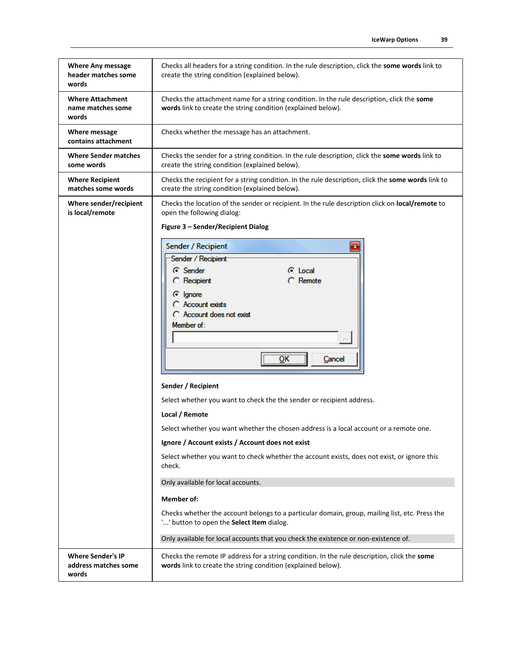| <b>Where Any message</b><br>header matches some<br>words  | Checks all headers for a string condition. In the rule description, click the some words link to<br>create the string condition (explained below).                          |  |  |  |
|-----------------------------------------------------------|-----------------------------------------------------------------------------------------------------------------------------------------------------------------------------|--|--|--|
| <b>Where Attachment</b><br>name matches some<br>words     | Checks the attachment name for a string condition. In the rule description, click the some<br>words link to create the string condition (explained below).                  |  |  |  |
| Where message<br>contains attachment                      | Checks whether the message has an attachment.                                                                                                                               |  |  |  |
| <b>Where Sender matches</b><br>some words                 | Checks the sender for a string condition. In the rule description, click the some words link to<br>create the string condition (explained below).                           |  |  |  |
| <b>Where Recipient</b><br>matches some words              | Checks the recipient for a string condition. In the rule description, click the some words link to<br>create the string condition (explained below).                        |  |  |  |
| Where sender/recipient<br>is local/remote                 | Checks the location of the sender or recipient. In the rule description click on <b>local/remote</b> to<br>open the following dialog:<br>Figure 3 - Sender/Recipient Dialog |  |  |  |
|                                                           | Sender / Recipient<br>$\mathbf{z}$                                                                                                                                          |  |  |  |
|                                                           | Sender / Recipient                                                                                                                                                          |  |  |  |
|                                                           | ⊙ Sender<br>Local                                                                                                                                                           |  |  |  |
|                                                           | <b>C</b> Recipient<br>Remote                                                                                                                                                |  |  |  |
|                                                           | <b><i>C</i></b> Ignore                                                                                                                                                      |  |  |  |
|                                                           | Account exists                                                                                                                                                              |  |  |  |
|                                                           | C Account does not exist<br>Member of:                                                                                                                                      |  |  |  |
|                                                           |                                                                                                                                                                             |  |  |  |
|                                                           | $\overline{\mathsf{OK}}$<br>Cancel                                                                                                                                          |  |  |  |
|                                                           |                                                                                                                                                                             |  |  |  |
|                                                           | Sender / Recipient                                                                                                                                                          |  |  |  |
|                                                           | Select whether you want to check the the sender or recipient address.                                                                                                       |  |  |  |
|                                                           | Local / Remote                                                                                                                                                              |  |  |  |
|                                                           | Select whether you want whether the chosen address is a local account or a remote one.                                                                                      |  |  |  |
|                                                           | Ignore / Account exists / Account does not exist                                                                                                                            |  |  |  |
|                                                           | Select whether you want to check whether the account exists, does not exist, or ignore this<br>check.                                                                       |  |  |  |
|                                                           | Only available for local accounts.                                                                                                                                          |  |  |  |
|                                                           | <b>Member of:</b>                                                                                                                                                           |  |  |  |
|                                                           | Checks whether the account belongs to a particular domain, group, mailing list, etc. Press the<br>'' button to open the Select Item dialog.                                 |  |  |  |
|                                                           | Only available for local accounts that you check the existence or non-existence of.                                                                                         |  |  |  |
| <b>Where Sender's IP</b><br>address matches some<br>words | Checks the remote IP address for a string condition. In the rule description, click the some<br>words link to create the string condition (explained below).                |  |  |  |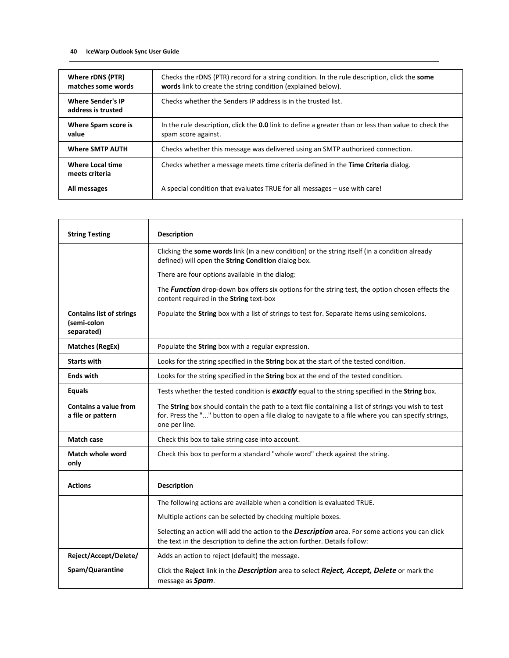| Where rDNS (PTR)<br>matches some words         | Checks the rDNS (PTR) record for a string condition. In the rule description, click the some<br>words link to create the string condition (explained below). |  |  |
|------------------------------------------------|--------------------------------------------------------------------------------------------------------------------------------------------------------------|--|--|
| <b>Where Sender's IP</b><br>address is trusted | Checks whether the Senders IP address is in the trusted list.                                                                                                |  |  |
| Where Spam score is<br>value                   | In the rule description, click the 0.0 link to define a greater than or less than value to check the<br>spam score against.                                  |  |  |
| <b>Where SMTP AUTH</b>                         | Checks whether this message was delivered using an SMTP authorized connection.                                                                               |  |  |
| Where Local time<br>meets criteria             | Checks whether a message meets time criteria defined in the Time Criteria dialog.                                                                            |  |  |
| All messages                                   | A special condition that evaluates TRUE for all messages – use with care!                                                                                    |  |  |

| <b>String Testing</b>                                        | <b>Description</b>                                                                                                                                                                                                          |  |  |  |
|--------------------------------------------------------------|-----------------------------------------------------------------------------------------------------------------------------------------------------------------------------------------------------------------------------|--|--|--|
|                                                              | Clicking the some words link (in a new condition) or the string itself (in a condition already<br>defined) will open the String Condition dialog box.                                                                       |  |  |  |
|                                                              | There are four options available in the dialog:                                                                                                                                                                             |  |  |  |
|                                                              | The Function drop-down box offers six options for the string test, the option chosen effects the<br>content required in the String text-box                                                                                 |  |  |  |
| <b>Contains list of strings</b><br>(semi-colon<br>separated) | Populate the String box with a list of strings to test for. Separate items using semicolons.                                                                                                                                |  |  |  |
| <b>Matches (RegEx)</b>                                       | Populate the String box with a regular expression.                                                                                                                                                                          |  |  |  |
| <b>Starts with</b>                                           | Looks for the string specified in the String box at the start of the tested condition.                                                                                                                                      |  |  |  |
| <b>Ends with</b>                                             | Looks for the string specified in the String box at the end of the tested condition.                                                                                                                                        |  |  |  |
| <b>Equals</b>                                                | Tests whether the tested condition is exactly equal to the string specified in the String box.                                                                                                                              |  |  |  |
| <b>Contains a value from</b><br>a file or pattern            | The String box should contain the path to a text file containing a list of strings you wish to test<br>for. Press the "" button to open a file dialog to navigate to a file where you can specify strings,<br>one per line. |  |  |  |
| <b>Match case</b>                                            | Check this box to take string case into account.                                                                                                                                                                            |  |  |  |
| Match whole word<br>only                                     | Check this box to perform a standard "whole word" check against the string.                                                                                                                                                 |  |  |  |
| <b>Actions</b>                                               | <b>Description</b>                                                                                                                                                                                                          |  |  |  |
|                                                              | The following actions are available when a condition is evaluated TRUE.                                                                                                                                                     |  |  |  |
|                                                              | Multiple actions can be selected by checking multiple boxes.                                                                                                                                                                |  |  |  |
|                                                              | Selecting an action will add the action to the <b>Description</b> area. For some actions you can click<br>the text in the description to define the action further. Details follow:                                         |  |  |  |
| Reject/Accept/Delete/                                        | Adds an action to reject (default) the message.                                                                                                                                                                             |  |  |  |
| Spam/Quarantine                                              | Click the Reject link in the Description area to select Reject, Accept, Delete or mark the<br>message as Spam.                                                                                                              |  |  |  |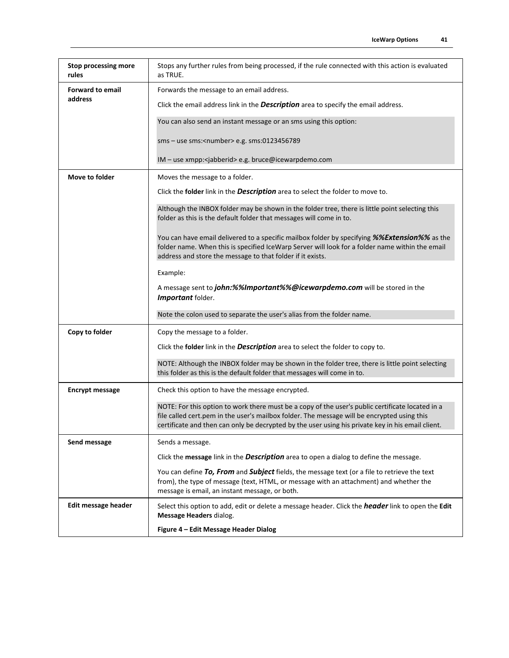| <b>Stop processing more</b><br>rules | Stops any further rules from being processed, if the rule connected with this action is evaluated<br>as TRUE.                                                                                                                                                                                        |
|--------------------------------------|------------------------------------------------------------------------------------------------------------------------------------------------------------------------------------------------------------------------------------------------------------------------------------------------------|
| <b>Forward to email</b>              | Forwards the message to an email address.                                                                                                                                                                                                                                                            |
| address                              | Click the email address link in the <b>Description</b> area to specify the email address.                                                                                                                                                                                                            |
|                                      | You can also send an instant message or an sms using this option:                                                                                                                                                                                                                                    |
|                                      | sms - use sms: <number> e.g. sms:0123456789</number>                                                                                                                                                                                                                                                 |
|                                      | IM - use xmpp: <jabberid> e.g. bruce@icewarpdemo.com</jabberid>                                                                                                                                                                                                                                      |
| Move to folder                       | Moves the message to a folder.                                                                                                                                                                                                                                                                       |
|                                      | Click the folder link in the <b>Description</b> area to select the folder to move to.                                                                                                                                                                                                                |
|                                      | Although the INBOX folder may be shown in the folder tree, there is little point selecting this<br>folder as this is the default folder that messages will come in to.                                                                                                                               |
|                                      | You can have email delivered to a specific mailbox folder by specifying %%Extension%% as the<br>folder name. When this is specified IceWarp Server will look for a folder name within the email<br>address and store the message to that folder if it exists.                                        |
|                                      | Example:                                                                                                                                                                                                                                                                                             |
|                                      | A message sent to john:%%Important%%@icewarpdemo.com will be stored in the<br>Important folder.                                                                                                                                                                                                      |
|                                      | Note the colon used to separate the user's alias from the folder name.                                                                                                                                                                                                                               |
| Copy to folder                       | Copy the message to a folder.                                                                                                                                                                                                                                                                        |
|                                      | Click the folder link in the <b>Description</b> area to select the folder to copy to.                                                                                                                                                                                                                |
|                                      | NOTE: Although the INBOX folder may be shown in the folder tree, there is little point selecting<br>this folder as this is the default folder that messages will come in to.                                                                                                                         |
| <b>Encrypt message</b>               | Check this option to have the message encrypted.                                                                                                                                                                                                                                                     |
|                                      | NOTE: For this option to work there must be a copy of the user's public certificate located in a<br>file called cert.pem in the user's mailbox folder. The message will be encrypted using this<br>certificate and then can only be decrypted by the user using his private key in his email client. |
| Send message                         | Sends a message.                                                                                                                                                                                                                                                                                     |
|                                      | Click the message link in the <b>Description</b> area to open a dialog to define the message.                                                                                                                                                                                                        |
|                                      | You can define To, From and Subject fields, the message text (or a file to retrieve the text<br>from), the type of message (text, HTML, or message with an attachment) and whether the<br>message is email, an instant message, or both.                                                             |
| Edit message header                  | Select this option to add, edit or delete a message header. Click the <i>header</i> link to open the Edit<br>Message Headers dialog.                                                                                                                                                                 |
|                                      | Figure 4 - Edit Message Header Dialog                                                                                                                                                                                                                                                                |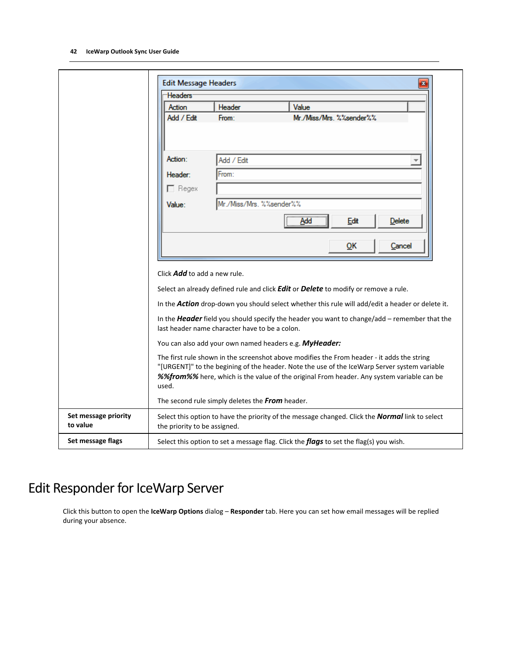| <b>Headers</b>                               |                                                 |                                                                                                                                                                                                                                                                                                                     |
|----------------------------------------------|-------------------------------------------------|---------------------------------------------------------------------------------------------------------------------------------------------------------------------------------------------------------------------------------------------------------------------------------------------------------------------|
| Action                                       | Header                                          | Value                                                                                                                                                                                                                                                                                                               |
| Add / Edit                                   | From:                                           | Mr./Miss/Mrs. %%sender%%                                                                                                                                                                                                                                                                                            |
| Action:<br>Header:<br>$\Box$ Regex<br>Value: | Add / Edit<br>From:<br>Mr./Miss/Mrs. %%sender%% |                                                                                                                                                                                                                                                                                                                     |
|                                              |                                                 | Add<br>Edit<br>Delete<br>QK<br>Cancel                                                                                                                                                                                                                                                                               |
|                                              | last header name character have to be a colon.  | Select an already defined rule and click <b>Edit</b> or <b>Delete</b> to modify or remove a rule.<br>In the <b>Action</b> drop-down you should select whether this rule will add/edit a header or delete it.<br>In the <b>Header</b> field you should specify the header you want to change/add - remember that the |
|                                              |                                                 | You can also add your own named headers e.g. MyHeader:                                                                                                                                                                                                                                                              |
| used.                                        |                                                 | The first rule shown in the screenshot above modifies the From header - it adds the string<br>"[URGENT]" to the begining of the header. Note the use of the IceWarp Server system variable<br>%%from%% here, which is the value of the original From header. Any system variable can be                             |
|                                              |                                                 |                                                                                                                                                                                                                                                                                                                     |
|                                              | The second rule simply deletes the From header. |                                                                                                                                                                                                                                                                                                                     |
| the priority to be assigned.                 |                                                 | Select this option to have the priority of the message changed. Click the <b>Normal</b> link to select                                                                                                                                                                                                              |

## <span id="page-45-0"></span>Edit Responder for IceWarp Server

Click this button to open the **IceWarp Options** dialog – **Responder** tab. Here you can set how email messages will be replied during your absence.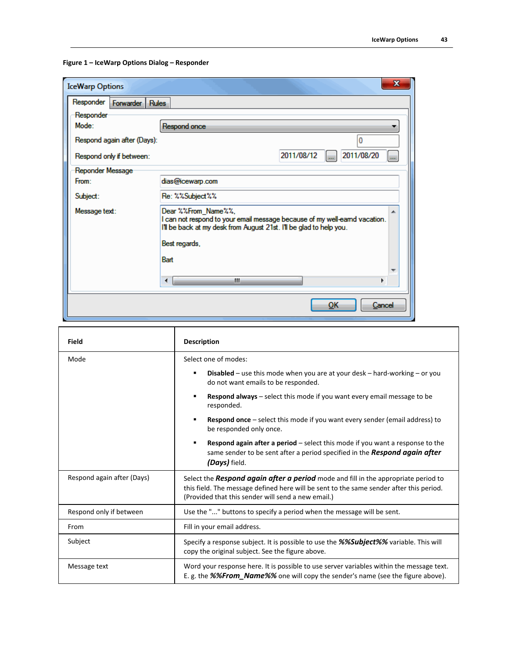**Figure 1 – IceWarp Options Dialog – Responder**

| <b>IceWarp Options</b>        | X                                                                                                                                                                       |
|-------------------------------|-------------------------------------------------------------------------------------------------------------------------------------------------------------------------|
| Responder   Forwarder   Rules |                                                                                                                                                                         |
| Responder                     |                                                                                                                                                                         |
| Mode:                         | Respond once                                                                                                                                                            |
| Respond again after (Days):   | $\mathbf{0}$                                                                                                                                                            |
| Respond only if between:      | 2011/08/20<br>2011/08/12<br>1<br>$\overline{\phantom{a}}$                                                                                                               |
| Reponder Message              |                                                                                                                                                                         |
| From:                         | dias@icewarp.com                                                                                                                                                        |
| Subject:                      | Re: %%Subject%%                                                                                                                                                         |
| Message text:                 | Dear %%From_Name%%,<br>I can not respond to your email message because of my well-eamd vacation.<br>I'll be back at my desk from August 21st. I'll be glad to help you. |
|                               | Best regards,                                                                                                                                                           |
|                               | <b>Bart</b>                                                                                                                                                             |
|                               | ш<br>∢<br>r                                                                                                                                                             |
|                               | OK<br>Cancel                                                                                                                                                            |

| Field                      | <b>Description</b>                                                                                                                                                                                                                  |  |  |
|----------------------------|-------------------------------------------------------------------------------------------------------------------------------------------------------------------------------------------------------------------------------------|--|--|
| Mode                       | Select one of modes:                                                                                                                                                                                                                |  |  |
|                            | <b>Disabled</b> – use this mode when you are at your desk – hard-working – or you<br>٠<br>do not want emails to be responded.                                                                                                       |  |  |
|                            | Respond always - select this mode if you want every email message to be<br>٠<br>responded.                                                                                                                                          |  |  |
|                            | <b>Respond once</b> – select this mode if you want every sender (email address) to<br>٠<br>be responded only once.                                                                                                                  |  |  |
|                            | <b>Respond again after a period</b> $-$ select this mode if you want a response to the<br>٠<br>same sender to be sent after a period specified in the Respond again after<br>(Days) field.                                          |  |  |
| Respond again after (Days) | Select the Respond again after a period mode and fill in the appropriate period to<br>this field. The message defined here will be sent to the same sender after this period.<br>(Provided that this sender will send a new email.) |  |  |
| Respond only if between    | Use the "" buttons to specify a period when the message will be sent.                                                                                                                                                               |  |  |
| From                       | Fill in your email address.                                                                                                                                                                                                         |  |  |
| Subject                    | Specify a response subject. It is possible to use the %%Subject%% variable. This will<br>copy the original subject. See the figure above.                                                                                           |  |  |
| Message text               | Word your response here. It is possible to use server variables within the message text.<br>E. g. the %%From_Name%% one will copy the sender's name (see the figure above).                                                         |  |  |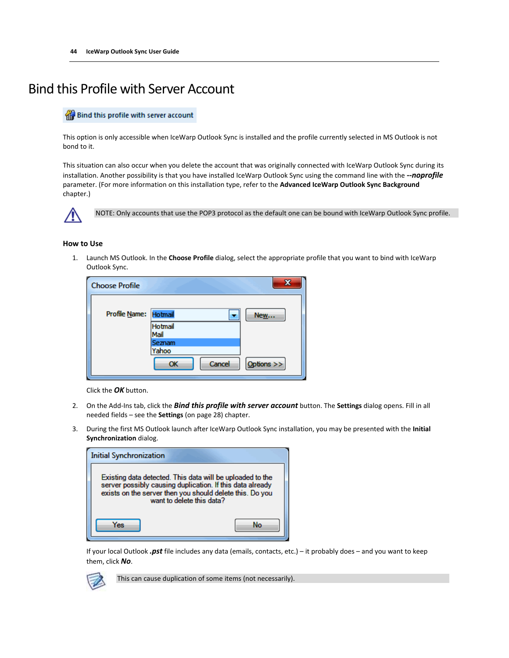## <span id="page-47-0"></span>Bind this Profile with Server Account

#### Bind this profile with server account

This option is only accessible when IceWarp Outlook Sync is installed and the profile currently selected in MS Outlook is not bond to it.

This situation can also occur when you delete the account that was originally connected with IceWarp Outlook Sync during its installation. Another possibility is that you have installed IceWarp Outlook Sync using the command line with the *--noprofile* parameter. (For more information on this installation type, refer to the **Advanced IceWarp Outlook Sync Background** chapter.)



NOTE: Only accounts that use the POP3 protocol as the default one can be bound with IceWarp Outlook Sync profile.

#### **How to Use**

1. Launch MS Outlook. In the **Choose Profile** dialog, select the appropriate profile that you want to bind with IceWarp Outlook Sync.

| <b>Choose Profile</b> |                        |              |
|-----------------------|------------------------|--------------|
| Profile Name: Hotmail |                        | <b>New</b>   |
|                       | <b>Hotmail</b><br>Mail |              |
|                       | Seznam                 |              |
|                       | Yahoo                  |              |
|                       | Cancel<br>OK           | Options $>>$ |

Click the *OK* button.

- 2. On the Add-Ins tab, click the *Bind this profile with server account* button. The **Settings** dialog opens. Fill in all needed fields – see the **Settings** (on pag[e 28\)](#page-31-0) chapter.
- 3. During the first MS Outlook launch after IceWarp Outlook Sync installation, you may be presented with the **Initial Synchronization** dialog.

| <b>Initial Synchronization</b>                                                                                                                                                                                  |  |
|-----------------------------------------------------------------------------------------------------------------------------------------------------------------------------------------------------------------|--|
| Existing data detected. This data will be uploaded to the<br>server possibly causing duplication. If this data already<br>exists on the server then you should delete this. Do you<br>want to delete this data? |  |
| 'nς                                                                                                                                                                                                             |  |

If your local Outlook *.pst* file includes any data (emails, contacts, etc.) – it probably does – and you want to keep them, click *No*.



This can cause duplication of some items (not necessarily).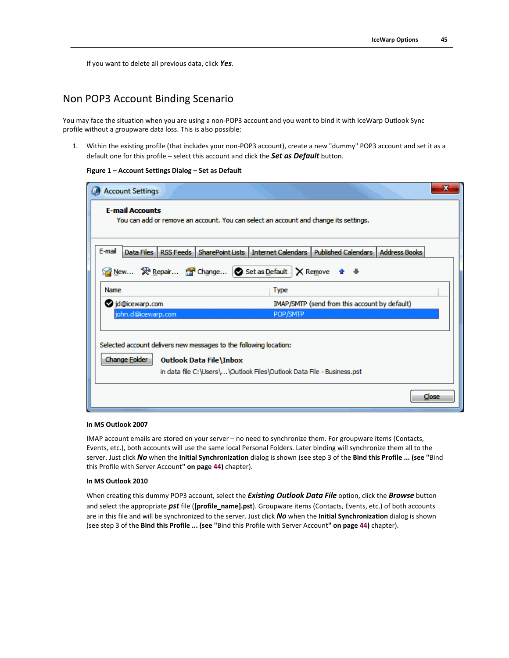If you want to delete all previous data, click *Yes*.

#### Non POP3 Account Binding Scenario

You may face the situation when you are using a non-POP3 account and you want to bind it with IceWarp Outlook Sync profile without a groupware data loss. This is also possible:

1. Within the existing profile (that includes your non-POP3 account), create a new "dummy" POP3 account and set it as a default one for this profile – select this account and click the *Set as Default* button.

#### **Figure 1 – Account Settings Dialog – Set as Default**

| <b>Account Settings</b>                                               |                                                                                                      |                                               | x     |
|-----------------------------------------------------------------------|------------------------------------------------------------------------------------------------------|-----------------------------------------------|-------|
| <b>E-mail Accounts</b>                                                | You can add or remove an account. You can select an account and change its settings.                 |                                               |       |
| E-mail                                                                | Data Files   RSS Feeds   SharePoint Lists   Internet Calendars   Published Calendars   Address Books |                                               |       |
| ◎ New ※ Repair ② Change ② Set as Default   X Remove ● ●               |                                                                                                      |                                               |       |
| Name                                                                  | <b>Type</b>                                                                                          |                                               |       |
| d@icewarp.com                                                         |                                                                                                      | IMAP/SMTP (send from this account by default) |       |
| john.d@icewarp.com                                                    | POP/SMTP                                                                                             |                                               |       |
|                                                                       |                                                                                                      |                                               |       |
| Selected account delivers new messages to the following location:     |                                                                                                      |                                               |       |
| <b>Change Folder</b><br><b>Outlook Data File\Inbox</b>                |                                                                                                      |                                               |       |
| in data file C:\Users\\Outlook Files\Outlook Data File - Business.pst |                                                                                                      |                                               |       |
|                                                                       |                                                                                                      |                                               | Close |

#### **In MS Outlook 2007**

IMAP account emails are stored on your server – no need to synchronize them. For groupware items (Contacts, Events, etc.), both accounts will use the same local Personal Folders. Later binding will synchronize them all to the server. Just click *No* when the **Initial Synchronization** dialog is shown (see step 3 of the **Bind this Profile ... (see "**[Bind](#page-47-0)  [this Profile with Server Account](#page-47-0)**" on page [44\)](#page-47-0)** chapter).

#### **In MS Outlook 2010**

When creating this dummy POP3 account, select the *Existing Outlook Data File* option, click the *Browse* button and select the appropriate *pst* file (**[profile\_name].pst**). Groupware items (Contacts, Events, etc.) of both accounts are in this file and will be synchronized to the server. Just click *No* when the **Initial Synchronization** dialog is shown (see step 3 of the **Bind this Profile ... (see "**[Bind this Profile with Server Account](#page-47-0)**" on page [44\)](#page-47-0)** chapter).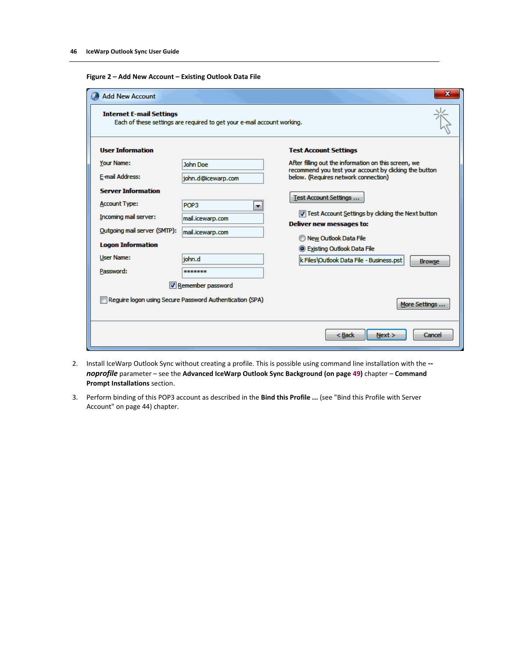| <b>Add New Account</b><br><b>Internet E-mail Settings</b> | Each of these settings are required to get your e-mail account working. | x                                                                                             |
|-----------------------------------------------------------|-------------------------------------------------------------------------|-----------------------------------------------------------------------------------------------|
| <b>User Information</b>                                   |                                                                         | <b>Test Account Settings</b>                                                                  |
| Your Name:                                                | <b>John Doe</b>                                                         | After filling out the information on this screen, we                                          |
| E-mail Address:                                           | john.d@icewarp.com                                                      | recommend you test your account by dicking the button<br>below. (Requires network connection) |
| <b>Server Information</b>                                 |                                                                         |                                                                                               |
| <b>Account Type:</b>                                      | POP3<br>▼                                                               | Test Account Settings                                                                         |
| Incoming mail server:                                     | mail.icewarp.com                                                        | Test Account Settings by dicking the Next button                                              |
| Outgoing mail server (SMTP):                              | mail.icewarp.com                                                        | Deliver new messages to:                                                                      |
| <b>Logon Information</b>                                  |                                                                         | New Outlook Data File                                                                         |
| <b>User Name:</b>                                         | john.d                                                                  | <b>S</b> Existing Outlook Data File                                                           |
| Password:                                                 | *******                                                                 | k Files\Outlook Data File - Business.pst<br><b>Browse</b>                                     |
|                                                           | Remember password                                                       |                                                                                               |
|                                                           | Require logon using Secure Password Authentication (SPA)                | More Settings                                                                                 |
|                                                           |                                                                         | < Back<br>Next<br>Cancel                                                                      |

- 2. Install IceWarp Outlook Sync without creating a profile. This is possible using command line installation with the *- noprofile* parameter – see the **Advanced IceWarp Outlook Sync Background (on pag[e 49\)](#page-52-0)** chapter – **Command Prompt Installations** section.
- 3. Perform binding of this POP3 account as described in the **Bind this Profile ...** (see ["Bind this Profile with Server](#page-47-0)  [Account"](#page-47-0) on page [44\)](#page-47-0) chapter.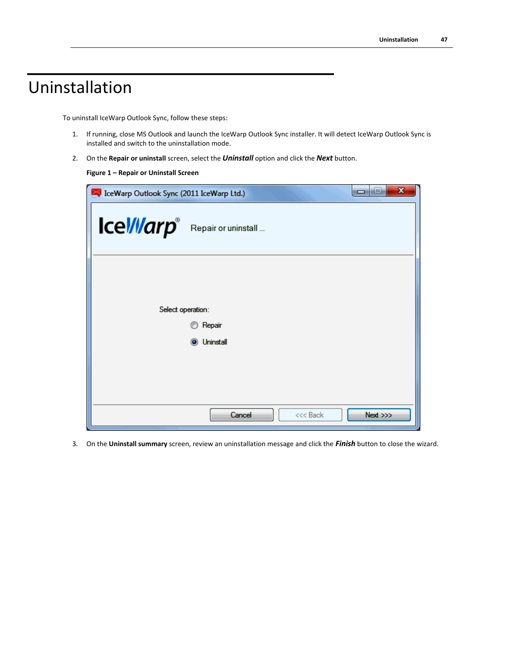## <span id="page-50-0"></span>Uninstallation

To uninstall IceWarp Outlook Sync, follow these steps:

- 1. If running, close MS Outlook and launch the IceWarp Outlook Sync installer. It will detect IceWarp Outlook Sync is installed and switch to the uninstallation mode.
- 2. On the **Repair or uninstall** screen, select the *Uninstall* option and click the *Next* button.

#### **Figure 1 – Repair or Uninstall Screen**

| CeWarp Outlook Sync (2011 IceWarp Ltd.)     | $\mathbf x$<br>نعادا<br>0       |
|---------------------------------------------|---------------------------------|
| Icel/llarp <sup>®</sup> Repair or uninstall |                                 |
| Select operation:                           | Repair<br><b>O</b> Uninstall    |
|                                             | Next >>><br>Cancel<br>$<<$ Back |

3. On the **Uninstall summary** screen, review an uninstallation message and click the *Finish* button to close the wizard.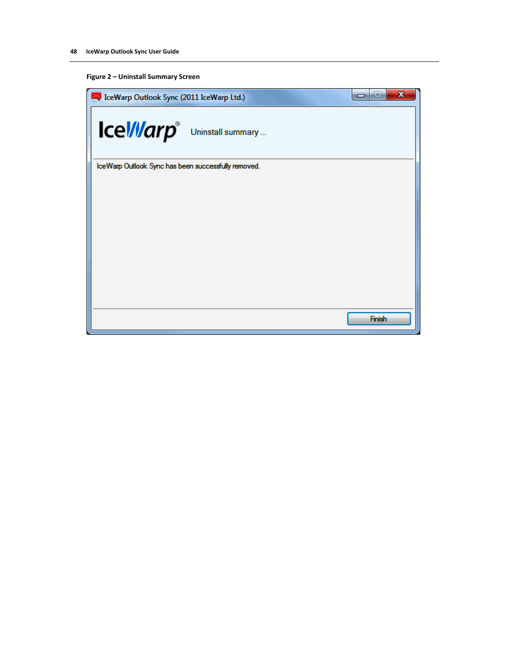#### **Figure 2 – Uninstall Summary Screen**

| IceWarp Outlook Sync (2011 IceWarp Ltd.)            | $\mathbf x$<br>ь<br>▭ |
|-----------------------------------------------------|-----------------------|
| Icel/llarp <sup>®</sup> Uninstall summary           |                       |
| IceWarp Outlook Sync has been successfully removed. |                       |
|                                                     |                       |
|                                                     |                       |
|                                                     |                       |
|                                                     |                       |
|                                                     |                       |
|                                                     |                       |
|                                                     |                       |
|                                                     |                       |
|                                                     | Finish                |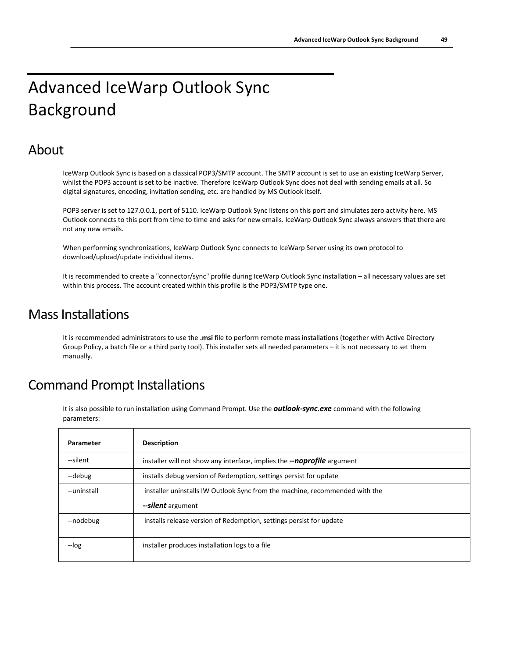## <span id="page-52-0"></span>Advanced IceWarp Outlook Sync Background

### About

IceWarp Outlook Sync is based on a classical POP3/SMTP account. The SMTP account is set to use an existing IceWarp Server, whilst the POP3 account is set to be inactive. Therefore IceWarp Outlook Sync does not deal with sending emails at all. So digital signatures, encoding, invitation sending, etc. are handled by MS Outlook itself.

POP3 server is set to 127.0.0.1, port of 5110. IceWarp Outlook Sync listens on this port and simulates zero activity here. MS Outlook connects to this port from time to time and asks for new emails. IceWarp Outlook Sync always answers that there are not any new emails.

When performing synchronizations, IceWarp Outlook Sync connects to IceWarp Server using its own protocol to download/upload/update individual items.

It is recommended to create a "connector/sync" profile during IceWarp Outlook Sync installation – all necessary values are set within this process. The account created within this profile is the POP3/SMTP type one.

### Mass Installations

It is recommended administrators to use the **.msi** file to perform remote mass installations (together with Active Directory Group Policy, a batch file or a third party tool). This installer sets all needed parameters – it is not necessary to set them manually.

## Command Prompt Installations

It is also possible to run installation using Command Prompt. Use the *outlook-sync.exe* command with the following parameters:

| Parameter   | <b>Description</b>                                                          |
|-------------|-----------------------------------------------------------------------------|
| --silent    | installer will not show any interface, implies the --noprofile argument     |
| --debug     | installs debug version of Redemption, settings persist for update           |
| --uninstall | installer uninstalls IW Outlook Sync from the machine, recommended with the |
|             | --silent argument                                                           |
| --nodebug   | installs release version of Redemption, settings persist for update         |
| --log       | installer produces installation logs to a file                              |